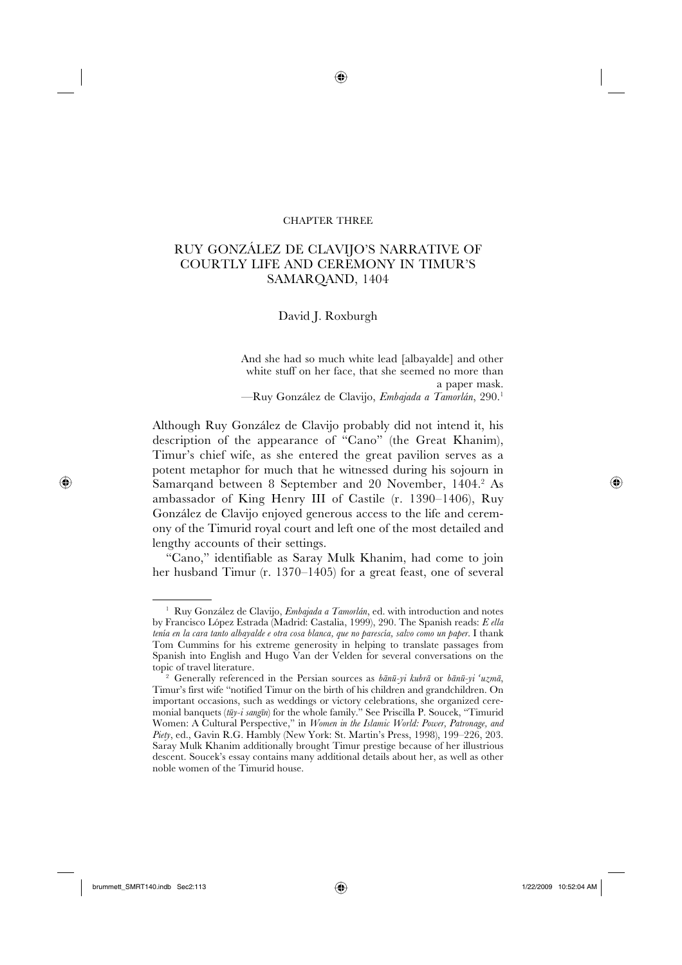#### CHAPTER THREE

◈

# RUY GONZÁLEZ DE CLAVIJO'S NARRATIVE OF COURTLY LIFE AND CEREMONY IN TIMUR'S SAMARQAND, 1404

#### David J. Roxburgh

And she had so much white lead [albayalde] and other white stuff on her face, that she seemed no more than a paper mask. —Ruy González de Clavijo, *Embajada a Tamorlán*, 290.1

Although Ruy González de Clavijo probably did not intend it, his description of the appearance of "Cano" (the Great Khanim), Timur's chief wife, as she entered the great pavilion serves as a potent metaphor for much that he witnessed during his sojourn in Samarqand between 8 September and 20 November, 1404.<sup>2</sup> As ambassador of King Henry III of Castile (r. 1390–1406), Ruy González de Clavijo enjoyed generous access to the life and ceremony of the Timurid royal court and left one of the most detailed and lengthy accounts of their settings.

"Cano," identifiable as Saray Mulk Khanim, had come to join her husband Timur (r. 1370–1405) for a great feast, one of several

brummett\_SMRT140.indb Sec2:113 **a 1**/22/2009 10:52:04 AM **1/22/2009** 10:52:04 AM

⊕

<sup>&</sup>lt;sup>1</sup> Ruy González de Clavijo, *Embajada a Tamorlán*, ed. with introduction and notes by Francisco López Estrada (Madrid: Castalia, 1999), 290. The Spanish reads: *E ella tenía en la cara tanto albayalde e otra cosa blanca, que no parescía, salvo como un paper*. I thank Tom Cummins for his extreme generosity in helping to translate passages from Spanish into English and Hugo Van der Velden for several conversations on the topic of travel literature.

<sup>2</sup> Generally referenced in the Persian sources as *bānū-yi kubrā* or *bānū-yi 'uzmā*, Timur's first wife "notified Timur on the birth of his children and grandchildren. On important occasions, such as weddings or victory celebrations, she organized ceremonial banquets (*tåy-i sangÊn*) for the whole family." See Priscilla P. Soucek, "Timurid Women: A Cultural Perspective," in *Women in the Islamic World: Power, Patronage, and Piety*, ed., Gavin R.G. Hambly (New York: St. Martin's Press, 1998), 199–226, 203. Saray Mulk Khanim additionally brought Timur prestige because of her illustrious descent. Soucek's essay contains many additional details about her, as well as other noble women of the Timurid house.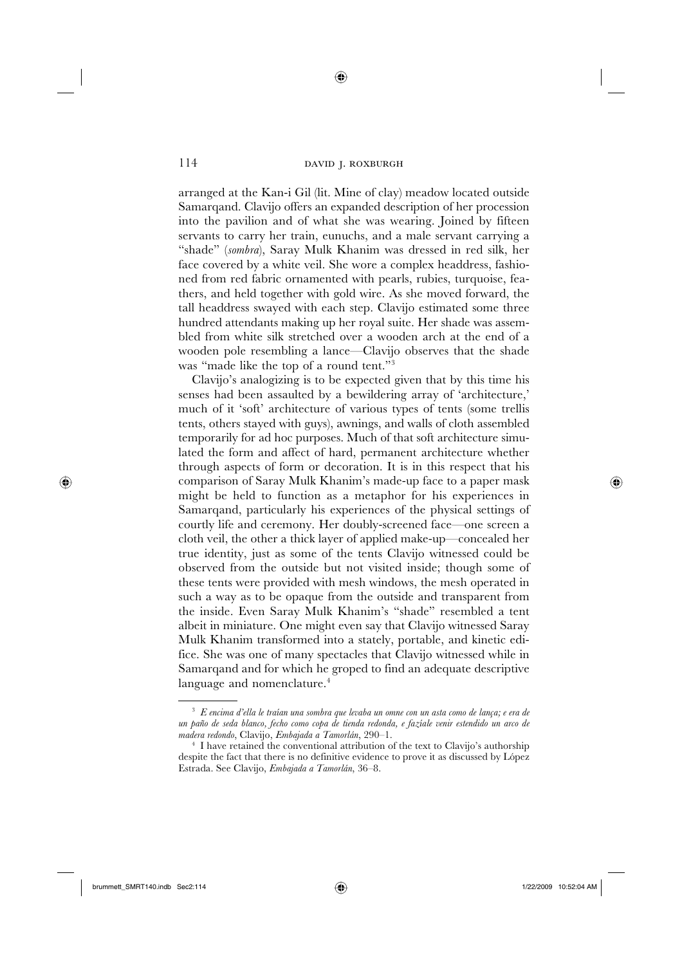◈

arranged at the Kan-i Gil (lit. Mine of clay) meadow located outside Samarqand. Clavijo offers an expanded description of her procession into the pavilion and of what she was wearing. Joined by fifteen servants to carry her train, eunuchs, and a male servant carrying a "shade" (*sombra*), Saray Mulk Khanim was dressed in red silk, her face covered by a white veil. She wore a complex headdress, fashioned from red fabric ornamented with pearls, rubies, turquoise, feathers, and held together with gold wire. As she moved forward, the tall headdress swayed with each step. Clavijo estimated some three hundred attendants making up her royal suite. Her shade was assembled from white silk stretched over a wooden arch at the end of a wooden pole resembling a lance—Clavijo observes that the shade was "made like the top of a round tent."3

Clavijo's analogizing is to be expected given that by this time his senses had been assaulted by a bewildering array of 'architecture,' much of it 'soft' architecture of various types of tents (some trellis tents, others stayed with guys), awnings, and walls of cloth assembled temporarily for ad hoc purposes. Much of that soft architecture simulated the form and affect of hard, permanent architecture whether through aspects of form or decoration. It is in this respect that his comparison of Saray Mulk Khanim's made-up face to a paper mask might be held to function as a metaphor for his experiences in Samarqand, particularly his experiences of the physical settings of courtly life and ceremony. Her doubly-screened face—one screen a cloth veil, the other a thick layer of applied make-up—concealed her true identity, just as some of the tents Clavijo witnessed could be observed from the outside but not visited inside; though some of these tents were provided with mesh windows, the mesh operated in such a way as to be opaque from the outside and transparent from the inside. Even Saray Mulk Khanim's "shade" resembled a tent albeit in miniature. One might even say that Clavijo witnessed Saray Mulk Khanim transformed into a stately, portable, and kinetic edifice. She was one of many spectacles that Clavijo witnessed while in Samarqand and for which he groped to find an adequate descriptive language and nomenclature.<sup>4</sup>

⊕

<sup>3</sup> *E encima d'ella le traían una sombra que levaba un omne con un asta como de lança; e era de un paño de seda blanco, fecho como copa de tienda redonda, e fazíale venir estendido un arco de madera redondo*, Clavijo, *Embajada a Tamorlán*, 290–1.

<sup>&</sup>lt;sup>4</sup> I have retained the conventional attribution of the text to Clavijo's authorship despite the fact that there is no definitive evidence to prove it as discussed by López Estrada. See Clavijo, *Embajada a Tamorlán*, 36–8.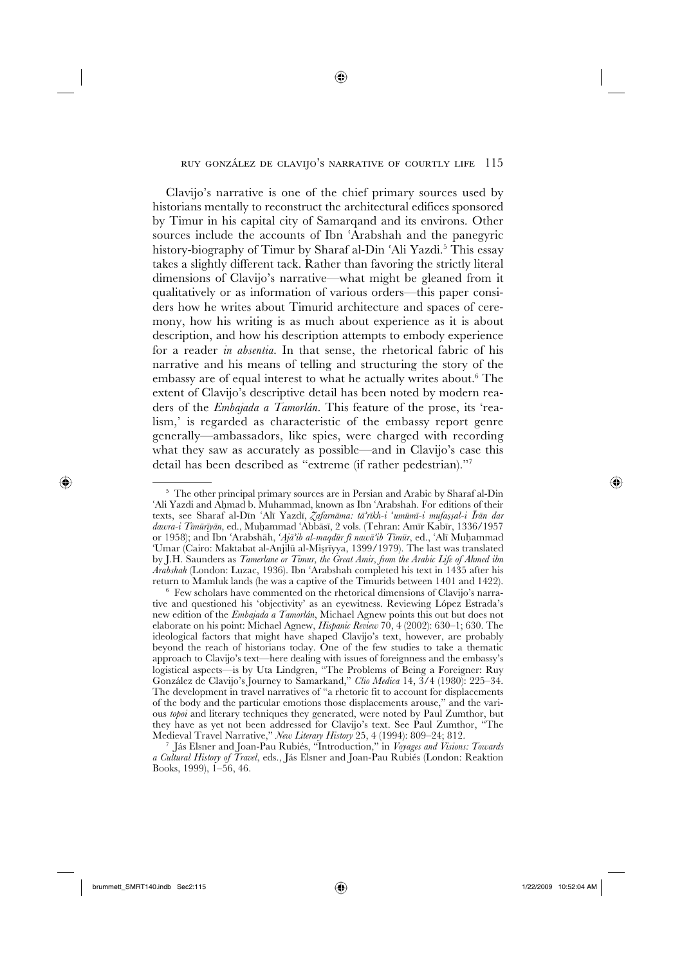#### ruy gonzález de clavijo's narrative of courtly life 115

◈

Clavijo's narrative is one of the chief primary sources used by historians mentally to reconstruct the architectural edifices sponsored by Timur in his capital city of Samarqand and its environs. Other sources include the accounts of Ibn 'Arabshah and the panegyric history-biography of Timur by Sharaf al-Din 'Ali Yazdi.<sup>5</sup> This essay takes a slightly different tack. Rather than favoring the strictly literal dimensions of Clavijo's narrative—what might be gleaned from it qualitatively or as information of various orders—this paper considers how he writes about Timurid architecture and spaces of ceremony, how his writing is as much about experience as it is about description, and how his description attempts to embody experience for a reader *in absentia*. In that sense, the rhetorical fabric of his narrative and his means of telling and structuring the story of the embassy are of equal interest to what he actually writes about.<sup>6</sup> The extent of Clavijo's descriptive detail has been noted by modern readers of the *Embajada a Tamorlán*. This feature of the prose, its 'realism,' is regarded as characteristic of the embassy report genre generally—ambassadors, like spies, were charged with recording what they saw as accurately as possible—and in Clavijo's case this detail has been described as "extreme (if rather pedestrian)."7

brummett\_SMRT140.indb Sec2:115 **a** and the section of the section of the section of the section of the section of the section of the section of the section of the section of the section of the section of the section of the

⊕

<sup>&</sup>lt;sup>5</sup> The other principal primary sources are in Persian and Arabic by Sharaf al-Din 'Ali Yazdi and Ahmad b. Muhammad, known as Ibn 'Arabshah. For editions of their texts, see Sharaf al-Dīn ʿAlī Yazdī, *Zafarnāma: tāʾrīkh-i ʿumūmī-i mufaṣṣal-i Īrān dar dawra-i TÊmårÊy§n*, ed., MuÈammad #Abb§sÊ, 2 vols. (Tehran: AmÊr KabÊr, 1336/1957 or 1958); and Ibn #Arabsh§h, *#Aj§"ib al-maqdår fÊ naw§"ib TÊmår*, ed., #AlÊ MuÈammad 'Umar (Cairo: Maktabat al-Anjilū al-Mişrīyya, 1399/1979). The last was translated by J.H. Saunders as *Tamerlane or Timur, the Great Amir, from the Arabic Life of Ahmed ibn Arabshah* (London: Luzac, 1936). Ibn #Arabshah completed his text in 1435 after his return to Mamluk lands (he was a captive of the Timurids between 1401 and 1422).

<sup>6</sup> Few scholars have commented on the rhetorical dimensions of Clavijo's narrative and questioned his 'objectivity' as an eyewitness. Reviewing López Estrada's new edition of the *Embajada a Tamorlán*, Michael Agnew points this out but does not elaborate on his point: Michael Agnew, *Hispanic Review* 70, 4 (2002): 630–1; 630. The ideological factors that might have shaped Clavijo's text, however, are probably beyond the reach of historians today. One of the few studies to take a thematic approach to Clavijo's text—here dealing with issues of foreignness and the embassy's logistical aspects—is by Uta Lindgren, "The Problems of Being a Foreigner: Ruy González de Clavijo's Journey to Samarkand," *Clio Medica* 14, 3/4 (1980): 225–34. The development in travel narratives of "a rhetoric fit to account for displacements of the body and the particular emotions those displacements arouse," and the various *topoi* and literary techniques they generated, were noted by Paul Zumthor, but they have as yet not been addressed for Clavijo's text. See Paul Zumthor, "The Medieval Travel Narrative," *New Literary History* 25, 4 (1994): 809–24; 812.

<sup>7</sup> Jás Elsner and Joan-Pau Rubiés, "Introduction," in *Voyages and Visions: Towards a Cultural History of Travel*, eds., Jás Elsner and Joan-Pau Rubiés (London: Reaktion Books, 1999), 1–56, 46.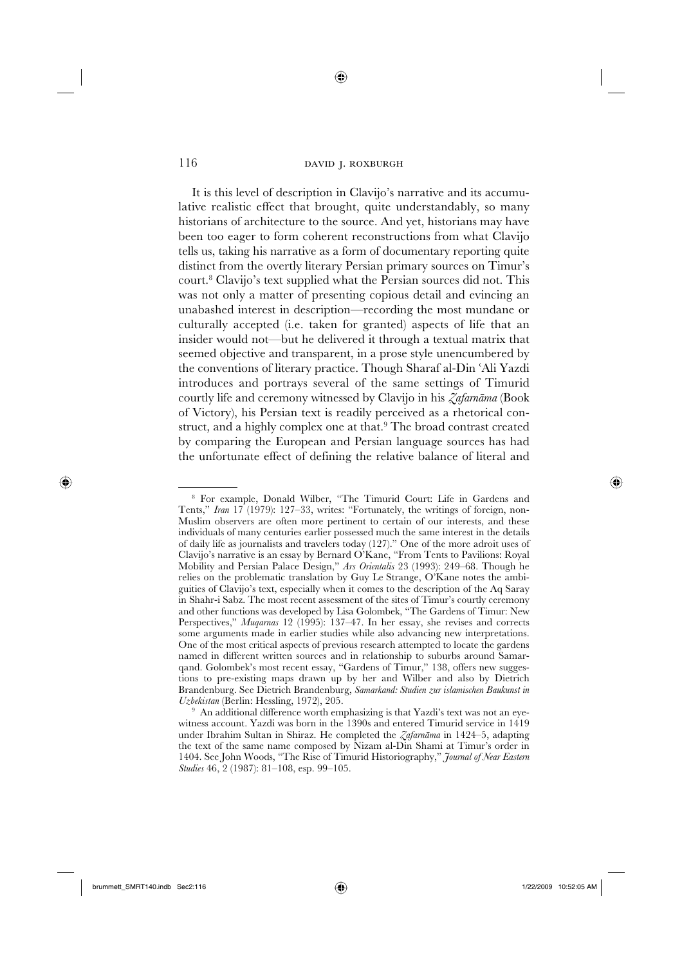◈

It is this level of description in Clavijo's narrative and its accumulative realistic effect that brought, quite understandably, so many historians of architecture to the source. And yet, historians may have been too eager to form coherent reconstructions from what Clavijo tells us, taking his narrative as a form of documentary reporting quite distinct from the overtly literary Persian primary sources on Timur's court.8 Clavijo's text supplied what the Persian sources did not. This was not only a matter of presenting copious detail and evincing an unabashed interest in description—recording the most mundane or culturally accepted (i.e. taken for granted) aspects of life that an insider would not—but he delivered it through a textual matrix that seemed objective and transparent, in a prose style unencumbered by the conventions of literary practice. Though Sharaf al-Din 'Ali Yazdi introduces and portrays several of the same settings of Timurid courtly life and ceremony witnessed by Clavijo in his *Zafarnāma* (Book of Victory), his Persian text is readily perceived as a rhetorical construct, and a highly complex one at that.<sup>9</sup> The broad contrast created by comparing the European and Persian language sources has had the unfortunate effect of defining the relative balance of literal and

⊕

<sup>8</sup> For example, Donald Wilber, "The Timurid Court: Life in Gardens and Tents," *Iran* 17 (1979): 127–33, writes: "Fortunately, the writings of foreign, non-Muslim observers are often more pertinent to certain of our interests, and these individuals of many centuries earlier possessed much the same interest in the details of daily life as journalists and travelers today (127)." One of the more adroit uses of Clavijo's narrative is an essay by Bernard O'Kane, "From Tents to Pavilions: Royal Mobility and Persian Palace Design," *Ars Orientalis* 23 (1993): 249–68. Though he relies on the problematic translation by Guy Le Strange, O'Kane notes the ambiguities of Clavijo's text, especially when it comes to the description of the Aq Saray in Shahr-i Sabz. The most recent assessment of the sites of Timur's courtly ceremony and other functions was developed by Lisa Golombek, "The Gardens of Timur: New Perspectives," *Muqarnas* 12 (1995): 137–47. In her essay, she revises and corrects some arguments made in earlier studies while also advancing new interpretations. One of the most critical aspects of previous research attempted to locate the gardens named in different written sources and in relationship to suburbs around Samarqand. Golombek's most recent essay, "Gardens of Timur," 138, offers new suggestions to pre-existing maps drawn up by her and Wilber and also by Dietrich Brandenburg. See Dietrich Brandenburg, *Samarkand: Studien zur islamischen Baukunst in Uzbekistan* (Berlin: Hessling, 1972), 205.

<sup>9</sup> An additional difference worth emphasizing is that Yazdi's text was not an eyewitness account. Yazdi was born in the 1390s and entered Timurid service in 1419 under Ibrahim Sultan in Shiraz. He completed the *Zafarnāma* in 1424–5, adapting the text of the same name composed by Nizam al-Din Shami at Timur's order in 1404. See John Woods, "The Rise of Timurid Historiography," *Journal of Near Eastern Studies* 46, 2 (1987): 81–108, esp. 99–105.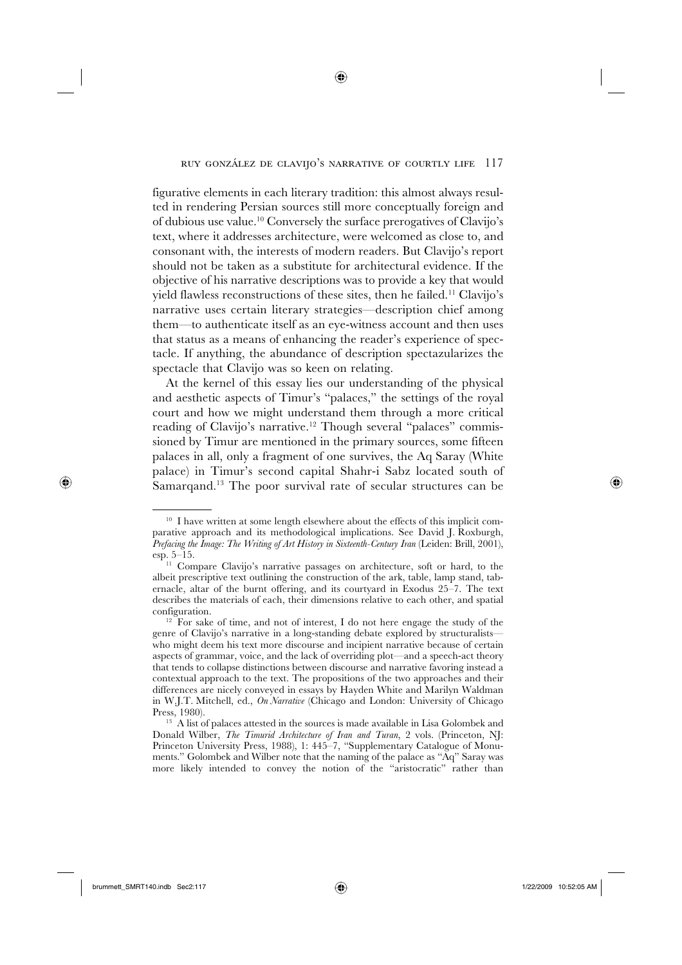figurative elements in each literary tradition: this almost always resulted in rendering Persian sources still more conceptually foreign and of dubious use value.10 Conversely the surface prerogatives of Clavijo's text, where it addresses architecture, were welcomed as close to, and consonant with, the interests of modern readers. But Clavijo's report should not be taken as a substitute for architectural evidence. If the objective of his narrative descriptions was to provide a key that would yield flawless reconstructions of these sites, then he failed.11 Clavijo's narrative uses certain literary strategies—description chief among them—to authenticate itself as an eye-witness account and then uses that status as a means of enhancing the reader's experience of spectacle. If anything, the abundance of description spectazularizes the spectacle that Clavijo was so keen on relating.

At the kernel of this essay lies our understanding of the physical and aesthetic aspects of Timur's "palaces," the settings of the royal court and how we might understand them through a more critical reading of Clavijo's narrative.<sup>12</sup> Though several "palaces" commissioned by Timur are mentioned in the primary sources, some fifteen palaces in all, only a fragment of one survives, the Aq Saray (White palace) in Timur's second capital Shahr-i Sabz located south of Samarqand.<sup>13</sup> The poor survival rate of secular structures can be

◈

⊕

<sup>&</sup>lt;sup>10</sup> I have written at some length elsewhere about the effects of this implicit comparative approach and its methodological implications. See David J. Roxburgh, *Prefacing the Image: The Writing of Art History in Sixteenth-Century Iran* (Leiden: Brill, 2001), esp. 5–15.

<sup>11</sup> Compare Clavijo's narrative passages on architecture, soft or hard, to the albeit prescriptive text outlining the construction of the ark, table, lamp stand, tabernacle, altar of the burnt offering, and its courtyard in Exodus 25–7. The text describes the materials of each, their dimensions relative to each other, and spatial configuration.

 $12$  For sake of time, and not of interest, I do not here engage the study of the genre of Clavijo's narrative in a long-standing debate explored by structuralists who might deem his text more discourse and incipient narrative because of certain aspects of grammar, voice, and the lack of overriding plot—and a speech-act theory that tends to collapse distinctions between discourse and narrative favoring instead a contextual approach to the text. The propositions of the two approaches and their differences are nicely conveyed in essays by Hayden White and Marilyn Waldman in W.J.T. Mitchell, ed., *On Narrative* (Chicago and London: University of Chicago Press, 1980).

<sup>&</sup>lt;sup>13</sup> A list of palaces attested in the sources is made available in Lisa Golombek and Donald Wilber, *The Timurid Architecture of Iran and Turan*, 2 vols. (Princeton, NJ: Princeton University Press, 1988), 1: 445–7, "Supplementary Catalogue of Monuments." Golombek and Wilber note that the naming of the palace as "Aq" Saray was more likely intended to convey the notion of the "aristocratic" rather than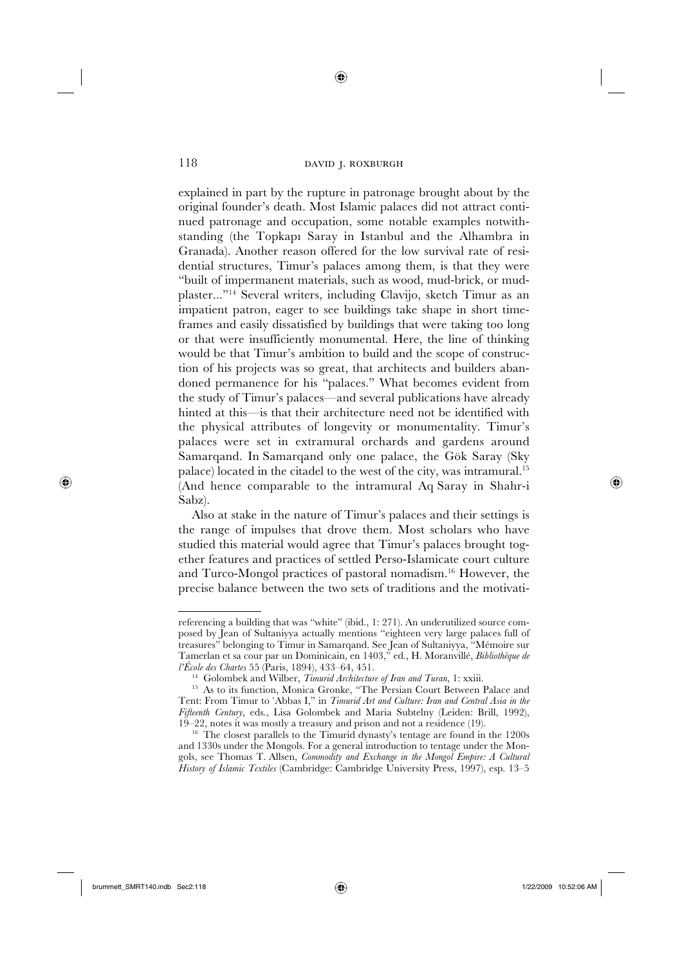◈

explained in part by the rupture in patronage brought about by the original founder's death. Most Islamic palaces did not attract continued patronage and occupation, some notable examples notwithstanding (the Topkapi Saray in Istanbul and the Alhambra in Granada). Another reason offered for the low survival rate of residential structures, Timur's palaces among them, is that they were "built of impermanent materials, such as wood, mud-brick, or mudplaster..."14 Several writers, including Clavijo, sketch Timur as an impatient patron, eager to see buildings take shape in short timeframes and easily dissatisfied by buildings that were taking too long or that were insufficiently monumental. Here, the line of thinking would be that Timur's ambition to build and the scope of construction of his projects was so great, that architects and builders abandoned permanence for his "palaces." What becomes evident from the study of Timur's palaces—and several publications have already hinted at this—is that their architecture need not be identified with the physical attributes of longevity or monumentality. Timur's palaces were set in extramural orchards and gardens around Samarqand. In Samarqand only one palace, the Gök Saray (Sky palace) located in the citadel to the west of the city, was intramural.<sup>15</sup> (And hence comparable to the intramural Aq Saray in Shahr-i Sabz).

Also at stake in the nature of Timur's palaces and their settings is the range of impulses that drove them. Most scholars who have studied this material would agree that Timur's palaces brought together features and practices of settled Perso-Islamicate court culture and Turco-Mongol practices of pastoral nomadism.16 However, the precise balance between the two sets of traditions and the motivati-

⊕

referencing a building that was "white" (ibid., 1: 271). An underutilized source composed by Jean of Sultaniyya actually mentions "eighteen very large palaces full of treasures" belonging to Timur in Samarqand. See Jean of Sultaniyya, "Mémoire sur Tamerlan et sa cour par un Dominicain, en 1403," ed., H. Moranvillé, *Bibliothèque de l'École des Chartes* 55 (Paris, 1894), 433–64, 451.

<sup>14</sup> Golombek and Wilber, *Timurid Architecture of Iran and Turan*, 1: xxiii.

<sup>&</sup>lt;sup>15</sup> As to its function, Monica Gronke, "The Persian Court Between Palace and Tent: From Timur to #Abbas I," in *Timurid Art and Culture: Iran and Central Asia in the Fifteenth Century*, eds., Lisa Golombek and Maria Subtelny (Leiden: Brill, 1992), 19–22, notes it was mostly a treasury and prison and not a residence (19).

<sup>&</sup>lt;sup>16</sup> The closest parallels to the Timurid dynasty's tentage are found in the 1200s and 1330s under the Mongols. For a general introduction to tentage under the Mongols, see Thomas T. Allsen, *Commodity and Exchange in the Mongol Empire: A Cultural History of Islamic Textiles* (Cambridge: Cambridge University Press, 1997), esp. 13–5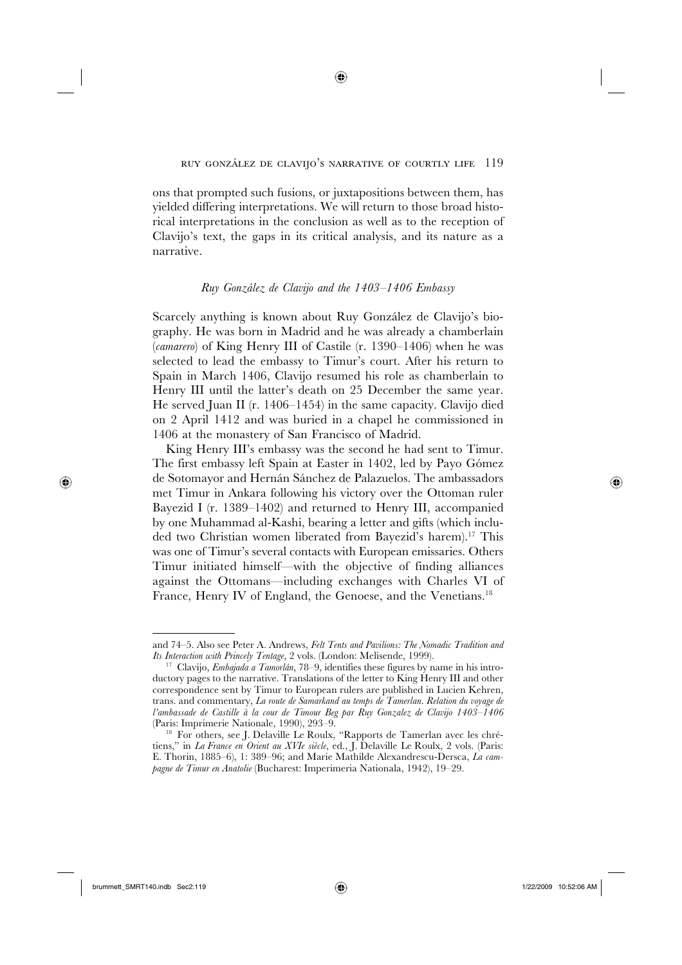ons that prompted such fusions, or juxtapositions between them, has yielded differing interpretations. We will return to those broad historical interpretations in the conclusion as well as to the reception of Clavijo's text, the gaps in its critical analysis, and its nature as a narrative.

### *Ruy González de Clavijo and the 1403–1406 Embassy*

Scarcely anything is known about Ruy González de Clavijo's biography. He was born in Madrid and he was already a chamberlain (*camarero*) of King Henry III of Castile (r. 1390–1406) when he was selected to lead the embassy to Timur's court. After his return to Spain in March 1406, Clavijo resumed his role as chamberlain to Henry III until the latter's death on 25 December the same year. He served Juan II (r. 1406–1454) in the same capacity. Clavijo died on 2 April 1412 and was buried in a chapel he commissioned in 1406 at the monastery of San Francisco of Madrid.

King Henry III's embassy was the second he had sent to Timur. The first embassy left Spain at Easter in 1402, led by Payo Gómez de Sotomayor and Hernán Sánchez de Palazuelos. The ambassadors met Timur in Ankara following his victory over the Ottoman ruler Bayezid I (r. 1389–1402) and returned to Henry III, accompanied by one Muhammad al-Kashi, bearing a letter and gifts (which included two Christian women liberated from Bayezid's harem).<sup>17</sup> This was one of Timur's several contacts with European emissaries. Others Timur initiated himself—with the objective of finding alliances against the Ottomans—including exchanges with Charles VI of France, Henry IV of England, the Genoese, and the Venetians.<sup>18</sup>

⊕

and 74–5. Also see Peter A. Andrews, *Felt Tents and Pavilions: The Nomadic Tradition and Its Interaction with Princely Tentage*, 2 vols. (London: Melisende, 1999).

<sup>17</sup> Clavijo, *Embajada a Tamorlán*, 78–9, identifies these figures by name in his introductory pages to the narrative. Translations of the letter to King Henry III and other correspondence sent by Timur to European rulers are published in Lucien Kehren, trans. and commentary, *La route de Samarkand au temps de Tamerlan. Relation du voyage de l'ambassade de Castille à la cour de Timour Beg par Ruy Gonzalez de Clavijo 1403–1406* (Paris: Imprimerie Nationale, 1990), 293–9.

<sup>&</sup>lt;sup>18</sup> For others, see J. Delaville Le Roulx, "Rapports de Tamerlan avec les chrétiens," in *La France en Orient au XVIe siècle*, ed., J. Delaville Le Roulx, 2 vols. (Paris: E. Thorin, 1885–6), 1: 389–96; and Marie Mathilde Alexandrescu-Dersca, *La campagne de Timur en Anatolie* (Bucharest: Imperimeria Nationala, 1942), 19–29.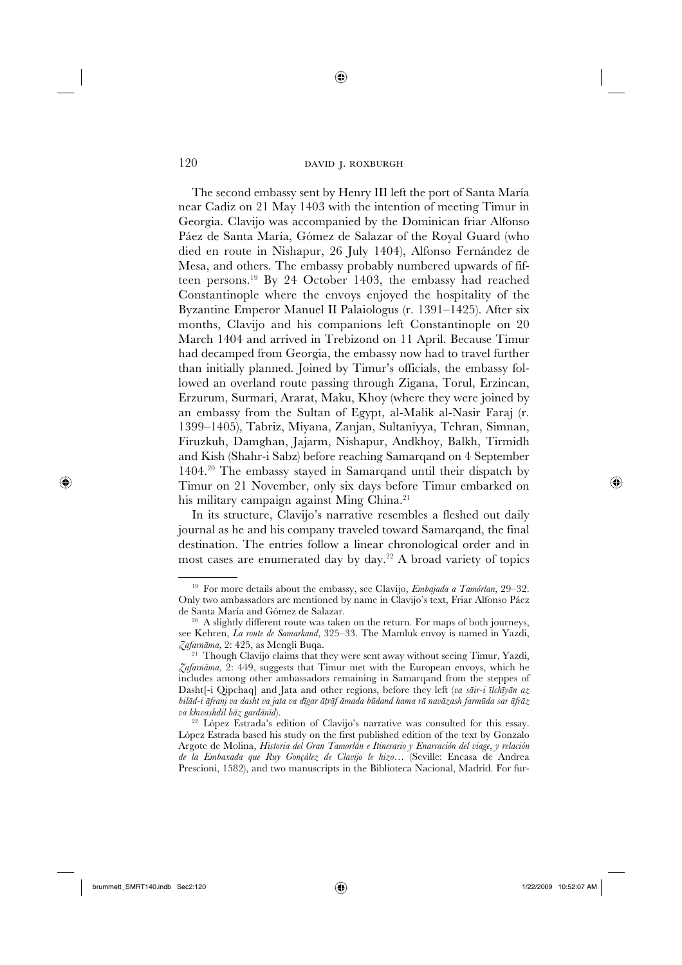◈

The second embassy sent by Henry III left the port of Santa María near Cadiz on 21 May 1403 with the intention of meeting Timur in Georgia. Clavijo was accompanied by the Dominican friar Alfonso Páez de Santa María, Gómez de Salazar of the Royal Guard (who died en route in Nishapur, 26 July 1404), Alfonso Fernández de Mesa, and others. The embassy probably numbered upwards of fifteen persons.19 By 24 October 1403, the embassy had reached Constantinople where the envoys enjoyed the hospitality of the Byzantine Emperor Manuel II Palaiologus (r. 1391–1425). After six months, Clavijo and his companions left Constantinople on 20 March 1404 and arrived in Trebizond on 11 April. Because Timur had decamped from Georgia, the embassy now had to travel further than initially planned. Joined by Timur's officials, the embassy followed an overland route passing through Zigana, Torul, Erzincan, Erzurum, Surmari, Ararat, Maku, Khoy (where they were joined by an embassy from the Sultan of Egypt, al-Malik al-Nasir Faraj (r. 1399–1405), Tabriz, Miyana, Zanjan, Sultaniyya, Tehran, Simnan, Firuzkuh, Damghan, Jajarm, Nishapur, Andkhoy, Balkh, Tirmidh and Kish (Shahr-i Sabz) before reaching Samarqand on 4 September 1404.20 The embassy stayed in Samarqand until their dispatch by Timur on 21 November, only six days before Timur embarked on his military campaign against Ming China.<sup>21</sup>

In its structure, Clavijo's narrative resembles a fleshed out daily journal as he and his company traveled toward Samarqand, the final destination. The entries follow a linear chronological order and in most cases are enumerated day by day.22 A broad variety of topics

⊕

<sup>19</sup> For more details about the embassy, see Clavijo, *Embajada a Tamórlan*, 29–32. Only two ambassadors are mentioned by name in Clavijo's text, Friar Alfonso Páez de Santa María and Gómez de Salazar.

<sup>&</sup>lt;sup>20</sup> A slightly different route was taken on the return. For maps of both journeys, see Kehren, *La route de Samarkand*, 325–33. The Mamluk envoy is named in Yazdi, *£afarn§ma,* 2: 425, as Mengli Buqa.

<sup>&</sup>lt;sup>21</sup> Though Clavijo claims that they were sent away without seeing Timur, Yazdi, *£afarn§ma*, 2: 449, suggests that Timur met with the European envoys, which he includes among other ambassadors remaining in Samarqand from the steppes of Dasht<sup>[-</sup>i Qipchaq] and Jata and other regions, before they left (*va sãir-i īlchīyan az* bilād-i āfranj va dasht va jata va dīgar āṭrāf āmada būdand hama rā navāzash farmūda sar āfrāz *va khwashdil b§z gard§nÊd*).

<sup>&</sup>lt;sup>22</sup> López Estrada's edition of Clavijo's narrative was consulted for this essay. López Estrada based his study on the first published edition of the text by Gonzalo Argote de Molina, *Historia del Gran Tamorlán e Itinerario y Enarración del viage, y relación de la Embaxada que Ruy Gonçález de Clavijo le hizo…* (Seville: Encasa de Andrea Prescioni, 1582), and two manuscripts in the Biblioteca Nacional, Madrid. For fur-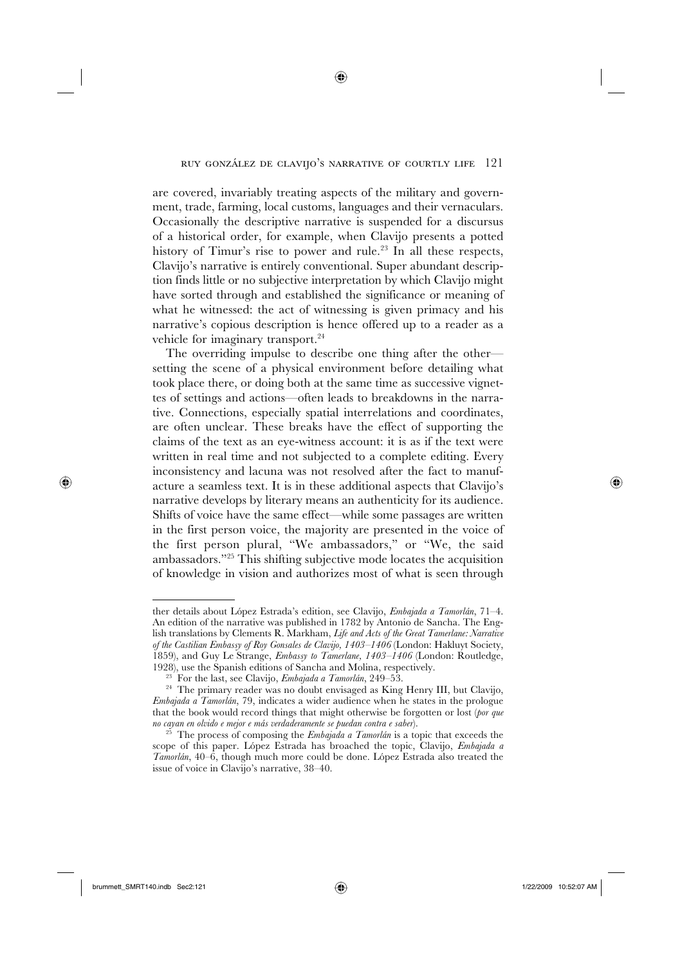are covered, invariably treating aspects of the military and government, trade, farming, local customs, languages and their vernaculars. Occasionally the descriptive narrative is suspended for a discursus of a historical order, for example, when Clavijo presents a potted history of Timur's rise to power and rule.<sup>23</sup> In all these respects, Clavijo's narrative is entirely conventional. Super abundant description finds little or no subjective interpretation by which Clavijo might have sorted through and established the significance or meaning of what he witnessed: the act of witnessing is given primacy and his narrative's copious description is hence offered up to a reader as a vehicle for imaginary transport.<sup>24</sup>

The overriding impulse to describe one thing after the other setting the scene of a physical environment before detailing what took place there, or doing both at the same time as successive vignettes of settings and actions—often leads to breakdowns in the narrative. Connections, especially spatial interrelations and coordinates, are often unclear. These breaks have the effect of supporting the claims of the text as an eye-witness account: it is as if the text were written in real time and not subjected to a complete editing. Every inconsistency and lacuna was not resolved after the fact to manufacture a seamless text. It is in these additional aspects that Clavijo's narrative develops by literary means an authenticity for its audience. Shifts of voice have the same effect—while some passages are written in the first person voice, the majority are presented in the voice of the first person plural, "We ambassadors," or "We, the said ambassadors."25 This shifting subjective mode locates the acquisition of knowledge in vision and authorizes most of what is seen through

⊕

ther details about López Estrada's edition, see Clavijo, *Embajada a Tamorlán*, 71–4. An edition of the narrative was published in 1782 by Antonio de Sancha. The English translations by Clements R. Markham, *Life and Acts of the Great Tamerlane: Narrative of the Castilian Embassy of Roy Gonsales de Clavijo, 1403–1406* (London: Hakluyt Society, 1859), and Guy Le Strange, *Embassy to Tamerlane, 1403–1406* (London: Routledge, 1928), use the Spanish editions of Sancha and Molina, respectively.

<sup>23</sup> For the last, see Clavijo, *Embajada a Tamorlán*, 249–53.

<sup>&</sup>lt;sup>24</sup> The primary reader was no doubt envisaged as King Henry III, but Clavijo, *Embajada a Tamorlán*, 79, indicates a wider audience when he states in the prologue that the book would record things that might otherwise be forgotten or lost (*por que no cayan en olvido e mejor e más verdaderamente se puedan contra e saber*).

<sup>25</sup> The process of composing the *Embajada a Tamorlán* is a topic that exceeds the scope of this paper. López Estrada has broached the topic, Clavijo, *Embajada a Tamorlán*, 40–6, though much more could be done. López Estrada also treated the issue of voice in Clavijo's narrative, 38–40.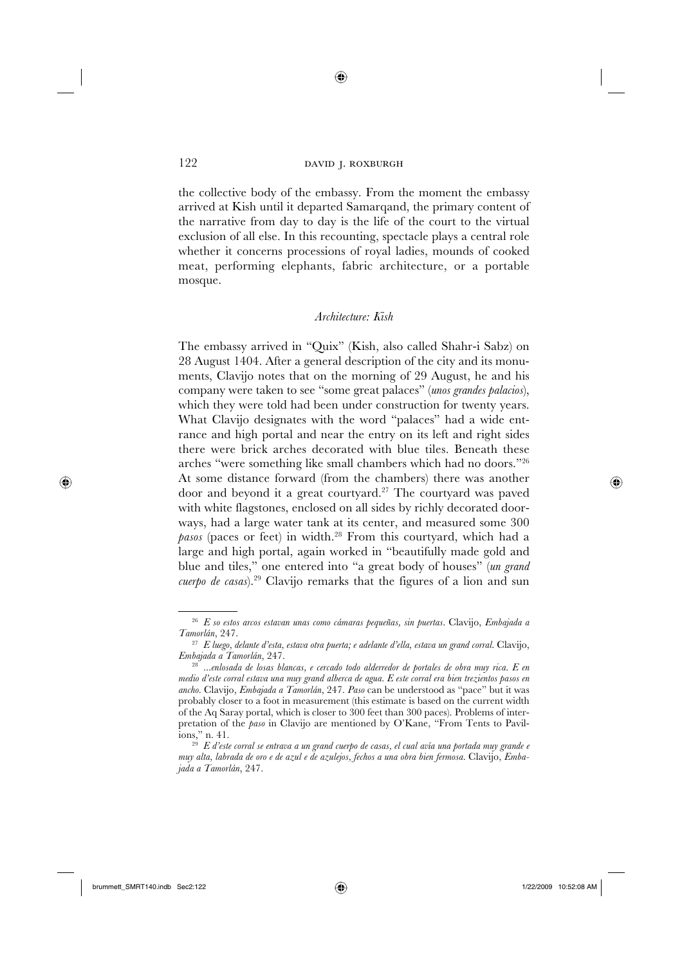◈

the collective body of the embassy. From the moment the embassy arrived at Kish until it departed Samarqand, the primary content of the narrative from day to day is the life of the court to the virtual exclusion of all else. In this recounting, spectacle plays a central role whether it concerns processions of royal ladies, mounds of cooked meat, performing elephants, fabric architecture, or a portable mosque.

### *Architecture: Kish*

The embassy arrived in "Quix" (Kish, also called Shahr-i Sabz) on 28 August 1404. After a general description of the city and its monuments, Clavijo notes that on the morning of 29 August, he and his company were taken to see "some great palaces" (*unos grandes palacios*), which they were told had been under construction for twenty years. What Clavijo designates with the word "palaces" had a wide entrance and high portal and near the entry on its left and right sides there were brick arches decorated with blue tiles. Beneath these arches "were something like small chambers which had no doors."26 At some distance forward (from the chambers) there was another door and beyond it a great courtyard.27 The courtyard was paved with white flagstones, enclosed on all sides by richly decorated doorways, had a large water tank at its center, and measured some 300 *pasos* (paces or feet) in width.<sup>28</sup> From this courtyard, which had a large and high portal, again worked in "beautifully made gold and blue and tiles," one entered into "a great body of houses" (*un grand cuerpo de casas*).29 Clavijo remarks that the figures of a lion and sun

⊕

<sup>26</sup> *E so estos arcos estavan unas como cámaras pequeñas, sin puertas*. Clavijo, *Embajada a Tamorlán*, 247.

<sup>27</sup> *E luego, delante d'esta, estava otra puerta; e adelante d'ella, estava un grand corral*. Clavijo, *Embajada a Tamorlán*, 247.

<sup>28 ...</sup>*enlosada de losas blancas, e cercado todo alderredor de portales de obra muy rica. E en medio d'este corral estava una muy grand alberca de agua. E este corral era bien trezientos pasos en ancho*. Clavijo, *Embajada a Tamorlán*, 247. *Paso* can be understood as "pace" but it was probably closer to a foot in measurement (this estimate is based on the current width of the Aq Saray portal, which is closer to 300 feet than 300 paces). Problems of interpretation of the *paso* in Clavijo are mentioned by O'Kane, "From Tents to Pavilions," n. 41.

<sup>29</sup> *E d'este corral se entrava a un grand cuerpo de casas, el cual avía una portada muy grande e muy alta, labrada de oro e de azul e de azulejos, fechos a una obra bien fermosa*. Clavijo, *Embajada a Tamorlán*, 247.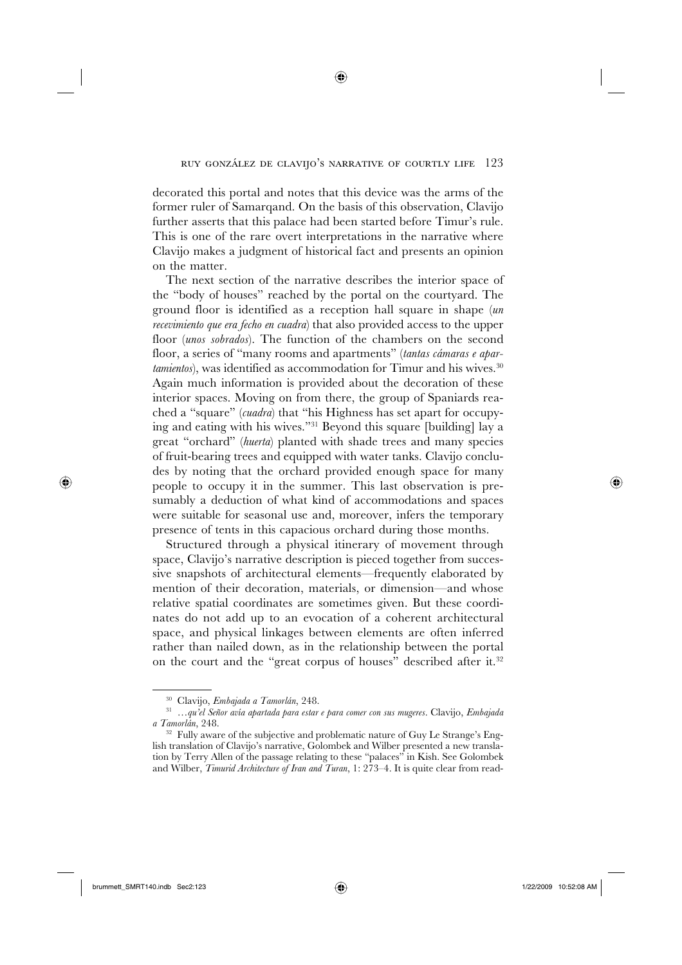decorated this portal and notes that this device was the arms of the former ruler of Samarqand. On the basis of this observation, Clavijo further asserts that this palace had been started before Timur's rule. This is one of the rare overt interpretations in the narrative where Clavijo makes a judgment of historical fact and presents an opinion on the matter.

The next section of the narrative describes the interior space of the "body of houses" reached by the portal on the courtyard. The ground floor is identified as a reception hall square in shape (*un recevimiento que era fecho en cuadra*) that also provided access to the upper floor (*unos sobrados*). The function of the chambers on the second floor, a series of "many rooms and apartments" (*tantas cámaras e apartamientos*), was identified as accommodation for Timur and his wives.<sup>30</sup> Again much information is provided about the decoration of these interior spaces. Moving on from there, the group of Spaniards reached a "square" (*cuadra*) that "his Highness has set apart for occupying and eating with his wives."31 Beyond this square [building] lay a great "orchard" (*huerta*) planted with shade trees and many species of fruit-bearing trees and equipped with water tanks. Clavijo concludes by noting that the orchard provided enough space for many people to occupy it in the summer. This last observation is presumably a deduction of what kind of accommodations and spaces were suitable for seasonal use and, moreover, infers the temporary presence of tents in this capacious orchard during those months.

Structured through a physical itinerary of movement through space, Clavijo's narrative description is pieced together from successive snapshots of architectural elements—frequently elaborated by mention of their decoration, materials, or dimension—and whose relative spatial coordinates are sometimes given. But these coordinates do not add up to an evocation of a coherent architectural space, and physical linkages between elements are often inferred rather than nailed down, as in the relationship between the portal on the court and the "great corpus of houses" described after it.<sup>32</sup>

brummett\_SMRT140.indb Sec2:123 **a 1**/22/2009 10:52:08 AM **1/22/2009** 10:52:08 AM

⊕

<sup>30</sup> Clavijo, *Embajada a Tamorlán*, 248.

<sup>31 …</sup>*qu'el Señor avía apartada para estar e para comer con sus mugeres*. Clavijo, *Embajada a Tamorlán*, 248.

<sup>32</sup> Fully aware of the subjective and problematic nature of Guy Le Strange's English translation of Clavijo's narrative, Golombek and Wilber presented a new translation by Terry Allen of the passage relating to these "palaces" in Kish. See Golombek and Wilber, *Timurid Architecture of Iran and Turan*, 1: 273–4. It is quite clear from read-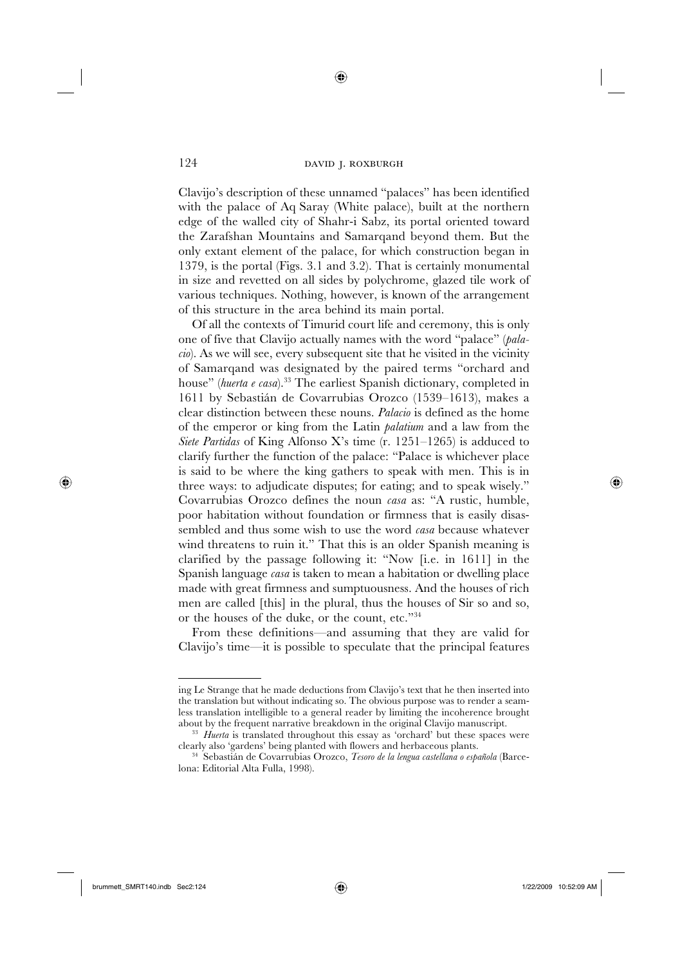◈

Clavijo's description of these unnamed "palaces" has been identified with the palace of Aq Saray (White palace), built at the northern edge of the walled city of Shahr-i Sabz, its portal oriented toward the Zarafshan Mountains and Samarqand beyond them. But the only extant element of the palace, for which construction began in 1379, is the portal (Figs. 3.1 and 3.2). That is certainly monumental in size and revetted on all sides by polychrome, glazed tile work of various techniques. Nothing, however, is known of the arrangement of this structure in the area behind its main portal.

Of all the contexts of Timurid court life and ceremony, this is only one of five that Clavijo actually names with the word "palace" (*palacio*). As we will see, every subsequent site that he visited in the vicinity of Samarqand was designated by the paired terms "orchard and house" (*huerta e casa*).33 The earliest Spanish dictionary, completed in 1611 by Sebastián de Covarrubias Orozco (1539–1613), makes a clear distinction between these nouns. *Palacio* is defined as the home of the emperor or king from the Latin *palatium* and a law from the *Siete Partidas* of King Alfonso X's time (r. 1251–1265) is adduced to clarify further the function of the palace: "Palace is whichever place is said to be where the king gathers to speak with men. This is in three ways: to adjudicate disputes; for eating; and to speak wisely." Covarrubias Orozco defines the noun *casa* as: "A rustic, humble, poor habitation without foundation or firmness that is easily disassembled and thus some wish to use the word *casa* because whatever wind threatens to ruin it." That this is an older Spanish meaning is clarified by the passage following it: "Now [i.e. in 1611] in the Spanish language *casa* is taken to mean a habitation or dwelling place made with great firmness and sumptuousness. And the houses of rich men are called [this] in the plural, thus the houses of Sir so and so, or the houses of the duke, or the count, etc."34

From these definitions—and assuming that they are valid for Clavijo's time—it is possible to speculate that the principal features

⊕

ing Le Strange that he made deductions from Clavijo's text that he then inserted into the translation but without indicating so. The obvious purpose was to render a seamless translation intelligible to a general reader by limiting the incoherence brought about by the frequent narrative breakdown in the original Clavijo manuscript.

<sup>33</sup> *Huerta* is translated throughout this essay as 'orchard' but these spaces were clearly also 'gardens' being planted with flowers and herbaceous plants.

<sup>34</sup> Sebastián de Covarrubias Orozco, *Tesoro de la lengua castellana o española* (Barcelona: Editorial Alta Fulla, 1998).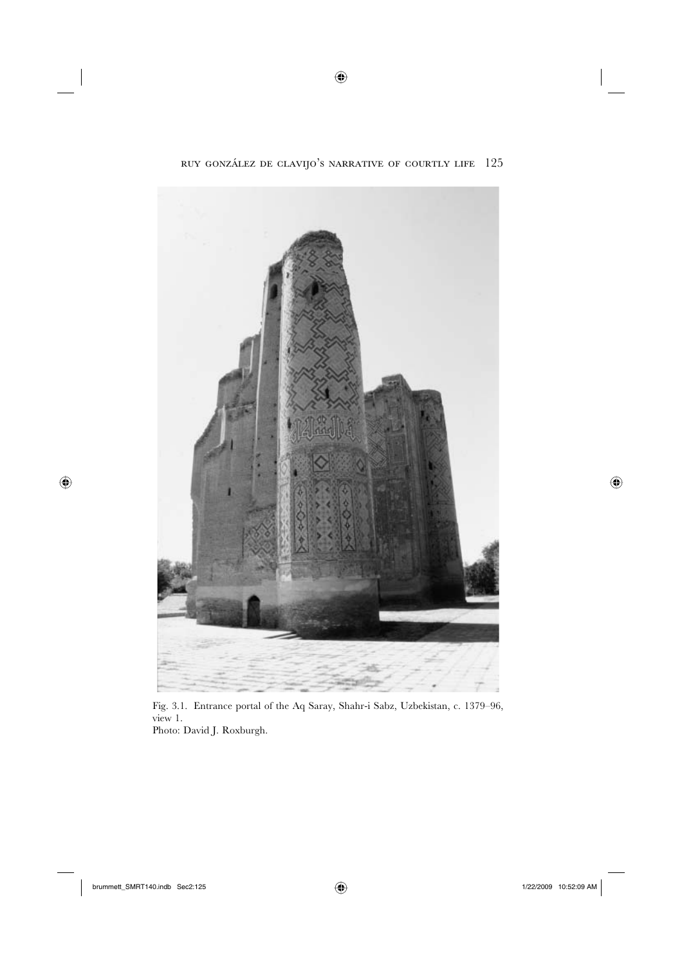

ruy gonzález de clavijo's narrative of courtly life 125

 $\bigoplus$ 

Fig. 3.1. Entrance portal of the Aq Saray, Shahr-i Sabz, Uzbekistan, c. 1379–96, view 1. Photo: David J. Roxburgh.

 $\bigoplus$ 

 $\bigoplus$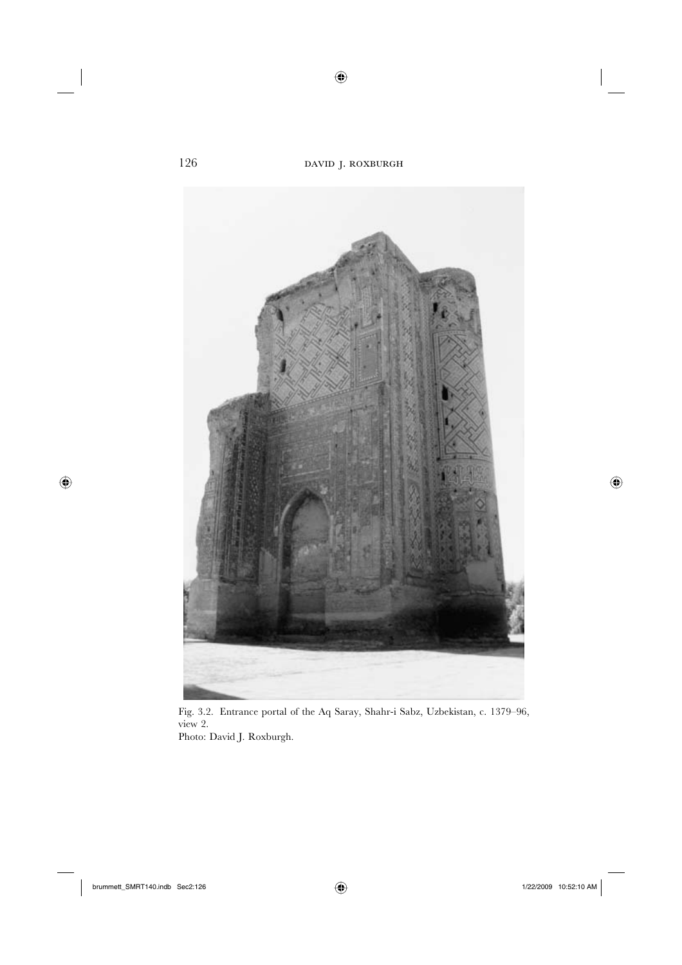

 $\bigoplus$ 

Fig. 3.2. Entrance portal of the Aq Saray, Shahr-i Sabz, Uzbekistan, c. 1379–96, view 2. Photo: David J. Roxburgh.

 $\bigoplus$ 

 $\bigoplus$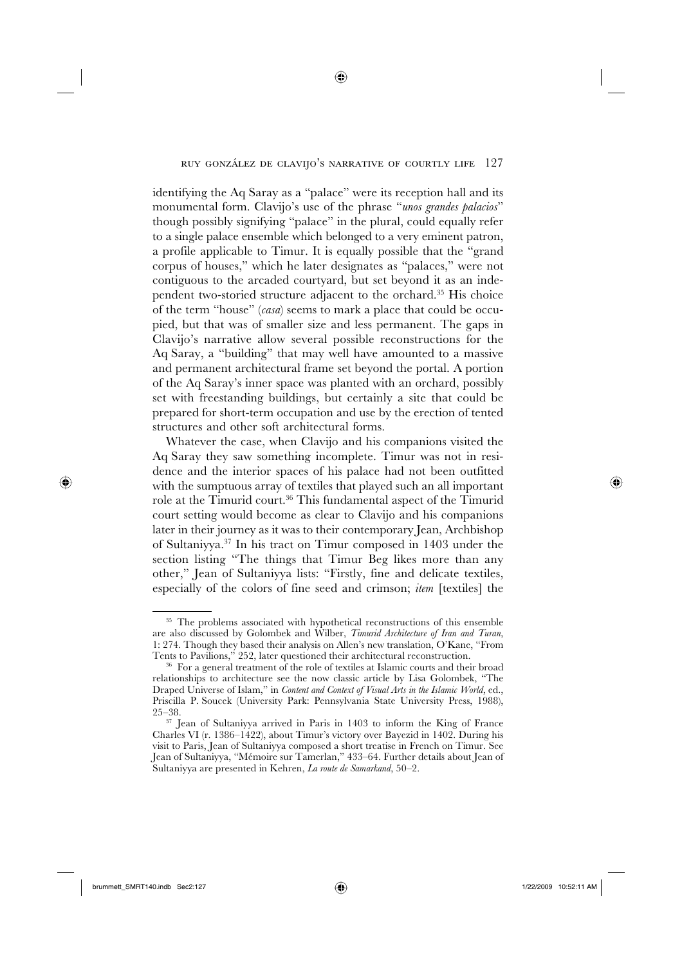identifying the Aq Saray as a "palace" were its reception hall and its monumental form. Clavijo's use of the phrase "*unos grandes palacios*" though possibly signifying "palace" in the plural, could equally refer to a single palace ensemble which belonged to a very eminent patron, a profile applicable to Timur. It is equally possible that the "grand corpus of houses," which he later designates as "palaces," were not contiguous to the arcaded courtyard, but set beyond it as an independent two-storied structure adjacent to the orchard.35 His choice of the term "house" (*casa*) seems to mark a place that could be occupied, but that was of smaller size and less permanent. The gaps in Clavijo's narrative allow several possible reconstructions for the Aq Saray, a "building" that may well have amounted to a massive and permanent architectural frame set beyond the portal. A portion of the Aq Saray's inner space was planted with an orchard, possibly set with freestanding buildings, but certainly a site that could be prepared for short-term occupation and use by the erection of tented structures and other soft architectural forms.

Whatever the case, when Clavijo and his companions visited the Aq Saray they saw something incomplete. Timur was not in residence and the interior spaces of his palace had not been outfitted with the sumptuous array of textiles that played such an all important role at the Timurid court.<sup>36</sup> This fundamental aspect of the Timurid court setting would become as clear to Clavijo and his companions later in their journey as it was to their contemporary Jean, Archbishop of Sultaniyya.37 In his tract on Timur composed in 1403 under the section listing "The things that Timur Beg likes more than any other," Jean of Sultaniyya lists: "Firstly, fine and delicate textiles, especially of the colors of fine seed and crimson; *item* [textiles] the

⊕

<sup>&</sup>lt;sup>35</sup> The problems associated with hypothetical reconstructions of this ensemble are also discussed by Golombek and Wilber, *Timurid Architecture of Iran and Turan*, 1: 274. Though they based their analysis on Allen's new translation, O'Kane, "From Tents to Pavilions," 252, later questioned their architectural reconstruction.

<sup>36</sup> For a general treatment of the role of textiles at Islamic courts and their broad relationships to architecture see the now classic article by Lisa Golombek, "The Draped Universe of Islam," in *Content and Context of Visual Arts in the Islamic World*, ed., Priscilla P. Soucek (University Park: Pennsylvania State University Press, 1988), 25–38.

<sup>&</sup>lt;sup>37</sup> Jean of Sultaniyya arrived in Paris in 1403 to inform the King of France Charles VI (r. 1386–1422), about Timur's victory over Bayezid in 1402. During his visit to Paris, Jean of Sultaniyya composed a short treatise in French on Timur. See Jean of Sultaniyya, "Mémoire sur Tamerlan," 433–64. Further details about Jean of Sultaniyya are presented in Kehren, *La route de Samarkand*, 50–2.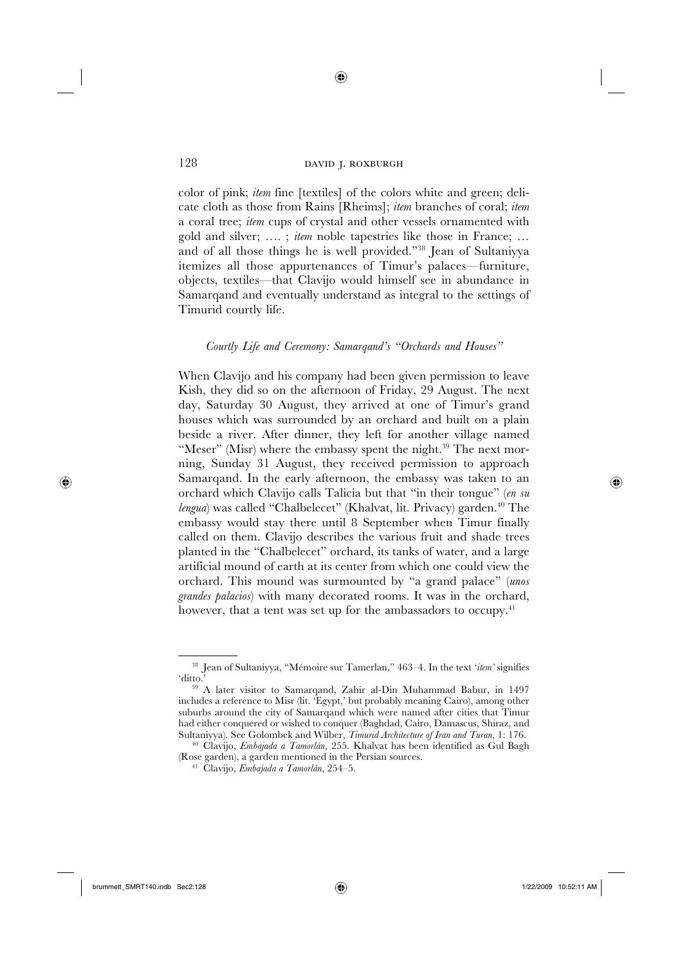◈

color of pink; *item* fine [textiles] of the colors white and green; delicate cloth as those from Rains [Rheims]; *item* branches of coral; *item* a coral tree; *item* cups of crystal and other vessels ornamented with gold and silver; …. ; *item* noble tapestries like those in France; … and of all those things he is well provided."38 Jean of Sultaniyya itemizes all those appurtenances of Timur's palaces—furniture, objects, textiles—that Clavijo would himself see in abundance in Samarqand and eventually understand as integral to the settings of Timurid courtly life.

#### *Courtly Life and Ceremony: Samarqand's "Orchards and Houses"*

When Clavijo and his company had been given permission to leave Kish, they did so on the afternoon of Friday, 29 August. The next day, Saturday 30 August, they arrived at one of Timur's grand houses which was surrounded by an orchard and built on a plain beside a river. After dinner, they left for another village named "Meser" (Misr) where the embassy spent the night. $39$  The next morning, Sunday 31 August, they received permission to approach Samarqand. In the early afternoon, the embassy was taken to an orchard which Clavijo calls Talicia but that "in their tongue" (*en su lengua*) was called "Chalbelecet" (Khalvat, lit. Privacy) garden.<sup>40</sup> The embassy would stay there until 8 September when Timur finally called on them. Clavijo describes the various fruit and shade trees planted in the "Chalbelecet" orchard, its tanks of water, and a large artificial mound of earth at its center from which one could view the orchard. This mound was surmounted by "a grand palace" (*unos grandes palacios*) with many decorated rooms. It was in the orchard, however, that a tent was set up for the ambassadors to occupy.<sup>41</sup>

⊕

<sup>38</sup> Jean of Sultaniyya, "Mémoire sur Tamerlan," 463–4. In the text '*item'* signifies 'ditto.'

<sup>39</sup> A later visitor to Samarqand, Zahir al-Din Muhammad Babur, in 1497 includes a reference to Misr (lit. 'Egypt,' but probably meaning Cairo), among other suburbs around the city of Samarqand which were named after cities that Timur had either conquered or wished to conquer (Baghdad, Cairo, Damascus, Shiraz, and Sultaniyya). See Golombek and Wilber, *Timurid Architecture of Iran and Turan*, 1: 176.

<sup>40</sup> Clavijo, *Embajada a Tamorlán*, 255. Khalvat has been identified as Gul Bagh (Rose garden), a garden mentioned in the Persian sources.

<sup>41</sup> Clavijo, *Embajada a Tamorlán*, 254–5.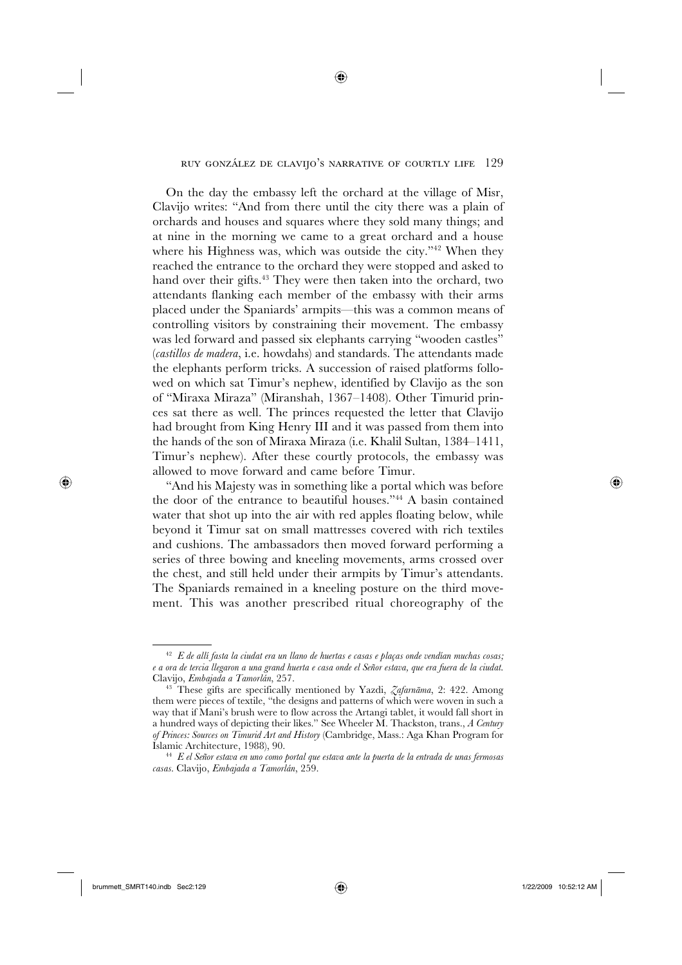#### ruy gonzález de clavijo's narrative of courtly life 129

◈

On the day the embassy left the orchard at the village of Misr, Clavijo writes: "And from there until the city there was a plain of orchards and houses and squares where they sold many things; and at nine in the morning we came to a great orchard and a house where his Highness was, which was outside the city."<sup>42</sup> When they reached the entrance to the orchard they were stopped and asked to hand over their gifts.<sup>43</sup> They were then taken into the orchard, two attendants flanking each member of the embassy with their arms placed under the Spaniards' armpits—this was a common means of controlling visitors by constraining their movement. The embassy was led forward and passed six elephants carrying "wooden castles" (*castillos de madera*, i.e. howdahs) and standards. The attendants made the elephants perform tricks. A succession of raised platforms followed on which sat Timur's nephew, identified by Clavijo as the son of "Miraxa Miraza" (Miranshah, 1367–1408). Other Timurid princes sat there as well. The princes requested the letter that Clavijo had brought from King Henry III and it was passed from them into the hands of the son of Miraxa Miraza (i.e. Khalil Sultan, 1384–1411, Timur's nephew). After these courtly protocols, the embassy was allowed to move forward and came before Timur.

"And his Majesty was in something like a portal which was before the door of the entrance to beautiful houses."44 A basin contained water that shot up into the air with red apples floating below, while beyond it Timur sat on small mattresses covered with rich textiles and cushions. The ambassadors then moved forward performing a series of three bowing and kneeling movements, arms crossed over the chest, and still held under their armpits by Timur's attendants. The Spaniards remained in a kneeling posture on the third movement. This was another prescribed ritual choreography of the

brummett\_SMRT140.indb Sec2:129 **a** and the state of the state of the state of the state of the state of the state of the state of the state of the state of the state of the state of the state of the state of the state of t

⊕

<sup>42</sup> *E de allí fasta la ciudat era un llano de huertas e casas e plaças onde vendían muchas cosas; e a ora de tercia llegaron a una grand huerta e casa onde el Señor estava, que era fuera de la ciudat*. Clavijo, *Embajada a Tamorlán*, 257.

These gifts are specifically mentioned by Yazdi, *Zafarnāma*, 2: 422. Among them were pieces of textile, "the designs and patterns of which were woven in such a way that if Mani's brush were to flow across the Artangi tablet, it would fall short in a hundred ways of depicting their likes." See Wheeler M. Thackston, trans., *A Century of Princes: Sources on Timurid Art and History* (Cambridge, Mass.: Aga Khan Program for Islamic Architecture, 1988), 90.

<sup>44</sup> *E el Señor estava en uno como portal que estava ante la puerta de la entrada de unas fermosas casas*. Clavijo, *Embajada a Tamorlán*, 259.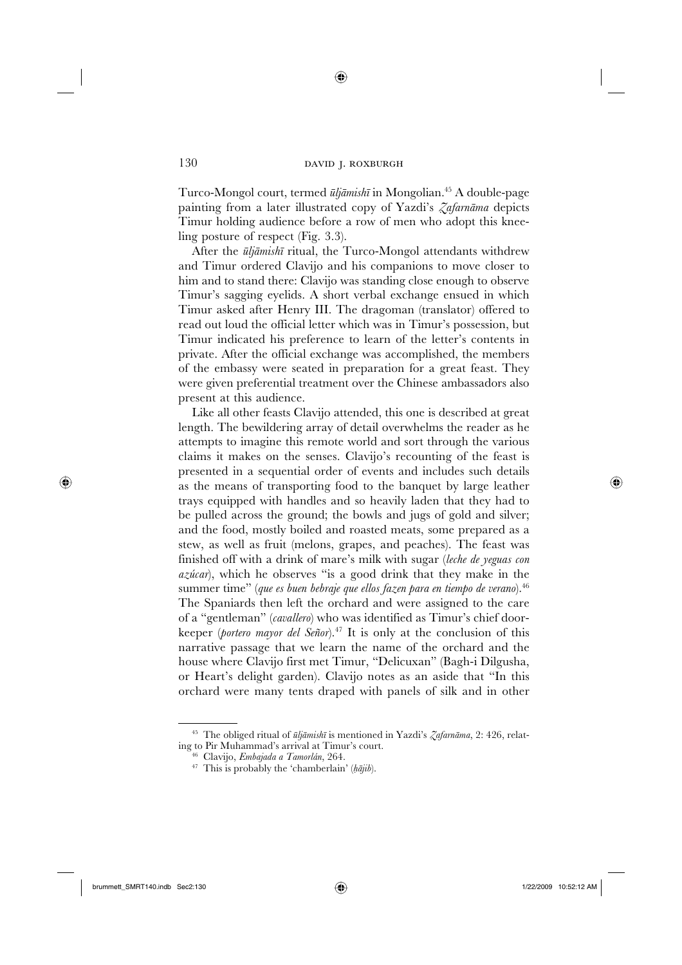◈

 Turco-Mongol court, termed *ålj§mishÊ* in Mongolian.45 A double-page painting from a later illustrated copy of Yazdi's *£afarn§ma* depicts Timur holding audience before a row of men who adopt this kneeling posture of respect (Fig. 3.3).

After the *ūljāmishī* ritual, the Turco-Mongol attendants withdrew and Timur ordered Clavijo and his companions to move closer to him and to stand there: Clavijo was standing close enough to observe Timur's sagging eyelids. A short verbal exchange ensued in which Timur asked after Henry III. The dragoman (translator) offered to read out loud the official letter which was in Timur's possession, but Timur indicated his preference to learn of the letter's contents in private. After the official exchange was accomplished, the members of the embassy were seated in preparation for a great feast. They were given preferential treatment over the Chinese ambassadors also present at this audience.

Like all other feasts Clavijo attended, this one is described at great length. The bewildering array of detail overwhelms the reader as he attempts to imagine this remote world and sort through the various claims it makes on the senses. Clavijo's recounting of the feast is presented in a sequential order of events and includes such details as the means of transporting food to the banquet by large leather trays equipped with handles and so heavily laden that they had to be pulled across the ground; the bowls and jugs of gold and silver; and the food, mostly boiled and roasted meats, some prepared as a stew, as well as fruit (melons, grapes, and peaches). The feast was finished off with a drink of mare's milk with sugar (*leche de yeguas con azúcar*), which he observes "is a good drink that they make in the summer time" (*que es buen bebraje que ellos fazen para en tiempo de verano*).46 The Spaniards then left the orchard and were assigned to the care of a "gentleman" (*cavallero*) who was identified as Timur's chief doorkeeper (*portero mayor del Señor*).47 It is only at the conclusion of this narrative passage that we learn the name of the orchard and the house where Clavijo first met Timur, "Delicuxan" (Bagh-i Dilgusha, or Heart's delight garden). Clavijo notes as an aside that "In this orchard were many tents draped with panels of silk and in other

⊕

<sup>&</sup>lt;sup>45</sup> The obliged ritual of  $\bar{u}$ *lj* $\bar{a}$ *mish* $\bar{b}$  is mentioned in Yazdi's  $\zeta$ *afarn* $\bar{a}$ *ma*, 2: 426, relating to Pir Muhammad's arrival at Timur's court.

<sup>46</sup> Clavijo, *Embajada a Tamorlán*, 264.

<sup>&</sup>lt;sup>47</sup> This is probably the 'chamberlain' (hājib).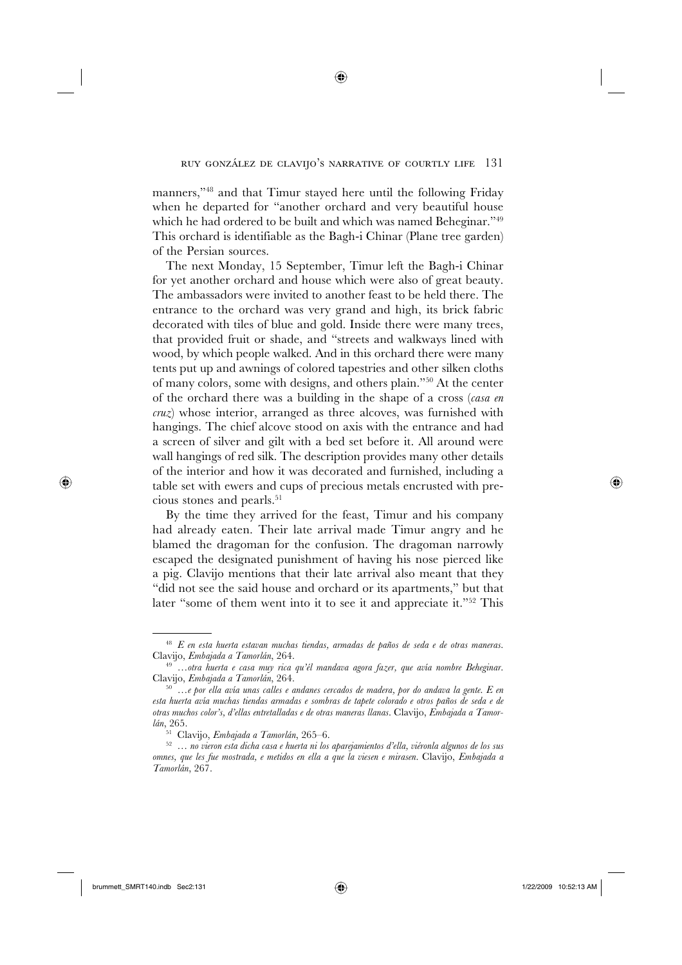manners,"48 and that Timur stayed here until the following Friday when he departed for "another orchard and very beautiful house which he had ordered to be built and which was named Beheginar."<sup>49</sup> This orchard is identifiable as the Bagh-i Chinar (Plane tree garden) of the Persian sources.

The next Monday, 15 September, Timur left the Bagh-i Chinar for yet another orchard and house which were also of great beauty. The ambassadors were invited to another feast to be held there. The entrance to the orchard was very grand and high, its brick fabric decorated with tiles of blue and gold. Inside there were many trees, that provided fruit or shade, and "streets and walkways lined with wood, by which people walked. And in this orchard there were many tents put up and awnings of colored tapestries and other silken cloths of many colors, some with designs, and others plain."50 At the center of the orchard there was a building in the shape of a cross (*casa en cruz*) whose interior, arranged as three alcoves, was furnished with hangings. The chief alcove stood on axis with the entrance and had a screen of silver and gilt with a bed set before it. All around were wall hangings of red silk. The description provides many other details of the interior and how it was decorated and furnished, including a table set with ewers and cups of precious metals encrusted with precious stones and pearls.<sup>51</sup>

By the time they arrived for the feast, Timur and his company had already eaten. Their late arrival made Timur angry and he blamed the dragoman for the confusion. The dragoman narrowly escaped the designated punishment of having his nose pierced like a pig. Clavijo mentions that their late arrival also meant that they "did not see the said house and orchard or its apartments," but that later "some of them went into it to see it and appreciate it."52 This

⊕

<sup>48</sup> *E en esta huerta estavan muchas tiendas, armadas de paños de seda e de otras maneras*. Clavijo, *Embajada a Tamorlán*, 264.

<sup>49</sup> *…otra huerta e casa muy rica qu'él mandava agora fazer, que avía nombre Beheginar*. Clavijo, *Embajada a Tamorlán*, 264.

<sup>50 …</sup>*e por ella avía unas calles e andanes cercados de madera, por do andava la gente. E en esta huerta avía muchas tiendas armadas e sombras de tapete colorado e otros paños de seda e de otras muchos color's, d'ellas entretalladas e de otras maneras llanas*. Clavijo, *Embajada a Tamorlán*, 265.

<sup>51</sup> Clavijo, *Embajada a Tamorlán*, 265–6.

<sup>52 …</sup> *no vieron esta dicha casa e huerta ni los aparejamientos d'ella, viéronla algunos de los sus omnes, que les fue mostrada, e metidos en ella a que la viesen e mirasen*. Clavijo, *Embajada a Tamorlán*, 267.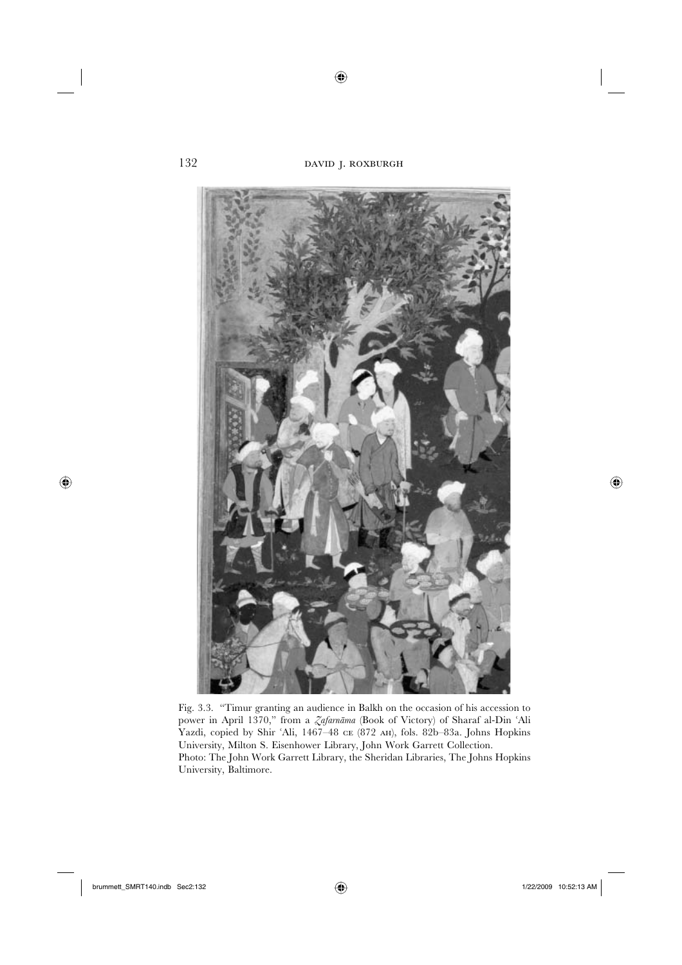



Fig. 3.3. "Timur granting an audience in Balkh on the occasion of his accession to power in April 1370," from a *Zafarnāma* (Book of Victory) of Sharaf al-Din 'Ali Yazdi, copied by Shir 'Ali, 1467–48 CE (872 AH), fols. 82b–83a. Johns Hopkins University, Milton S. Eisenhower Library, John Work Garrett Collection. Photo: The John Work Garrett Library, the Sheridan Libraries, The Johns Hopkins University, Baltimore.

 $\bigoplus$ 

 $\bigoplus$ 

 $\bigoplus$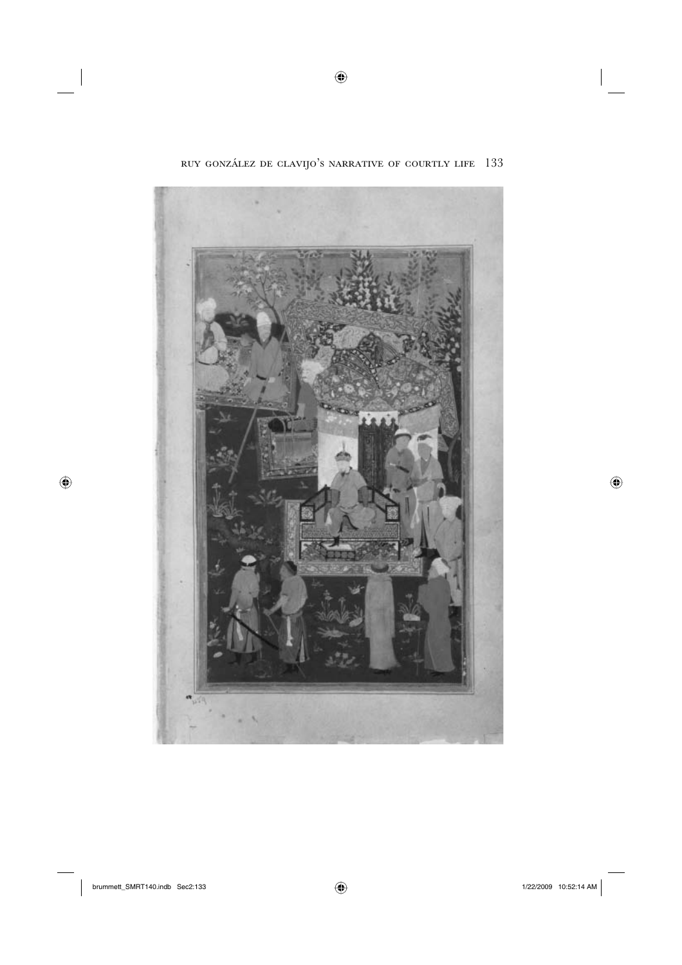

ruy gonzález de clavijo's narrative of courtly life 133

 $\bigoplus$ 

 $\bigoplus$ 

 $\bigoplus$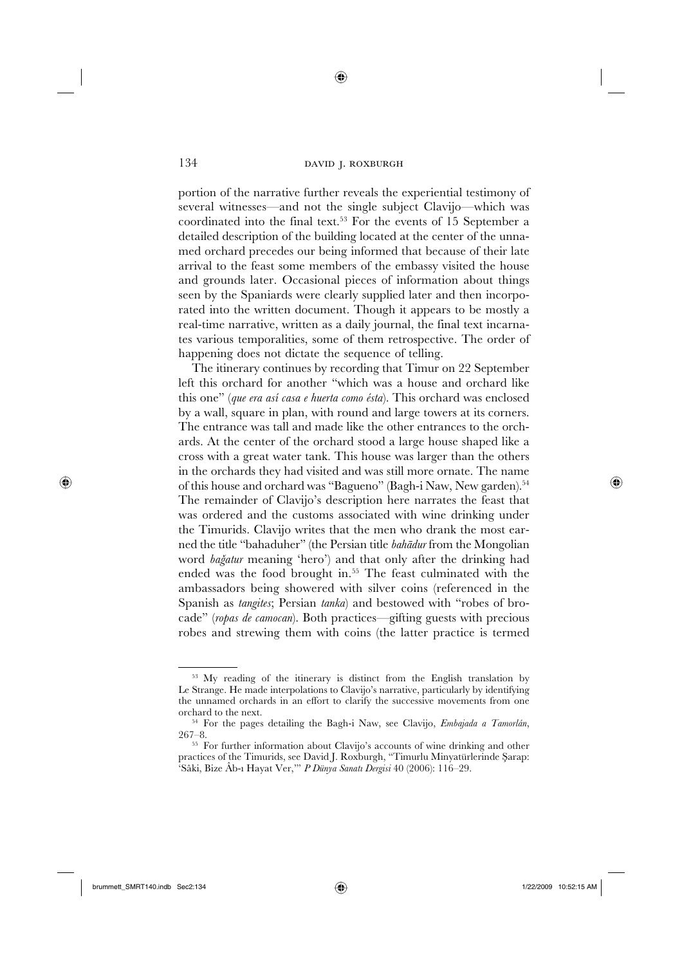◈

portion of the narrative further reveals the experiential testimony of several witnesses—and not the single subject Clavijo—which was coordinated into the final text.53 For the events of 15 September a detailed description of the building located at the center of the unnamed orchard precedes our being informed that because of their late arrival to the feast some members of the embassy visited the house and grounds later. Occasional pieces of information about things seen by the Spaniards were clearly supplied later and then incorporated into the written document. Though it appears to be mostly a real-time narrative, written as a daily journal, the final text incarnates various temporalities, some of them retrospective. The order of happening does not dictate the sequence of telling.

The itinerary continues by recording that Timur on 22 September left this orchard for another "which was a house and orchard like this one" (*que era así casa e huerta como ésta*). This orchard was enclosed by a wall, square in plan, with round and large towers at its corners. The entrance was tall and made like the other entrances to the orchards. At the center of the orchard stood a large house shaped like a cross with a great water tank. This house was larger than the others in the orchards they had visited and was still more ornate. The name of this house and orchard was "Bagueno" (Bagh-i Naw, New garden).<sup>54</sup> The remainder of Clavijo's description here narrates the feast that was ordered and the customs associated with wine drinking under the Timurids. Clavijo writes that the men who drank the most earned the title "bahaduher" (the Persian title *bah§dur* from the Mongolian word *bağatur* meaning 'hero') and that only after the drinking had ended was the food brought in.<sup>55</sup> The feast culminated with the ambassadors being showered with silver coins (referenced in the Spanish as *tangites*; Persian *tanka*) and bestowed with "robes of brocade" (*ropas de camocan*). Both practices—gifting guests with precious robes and strewing them with coins (the latter practice is termed

⊕

<sup>&</sup>lt;sup>53</sup> My reading of the itinerary is distinct from the English translation by Le Strange. He made interpolations to Clavijo's narrative, particularly by identifying the unnamed orchards in an effort to clarify the successive movements from one orchard to the next.

<sup>54</sup> For the pages detailing the Bagh-i Naw, see Clavijo, *Embajada a Tamorlán*, 267–8.

<sup>55</sup> For further information about Clavijo's accounts of wine drinking and other practices of the Timurids, see David J. Roxburgh, "Timurlu Minyatürlerinde Şarap: 'Sâki, Bize Âb-Ì Hayat Ver,'" *P Dünya SanatÌ Dergisi* 40 (2006): 116–29.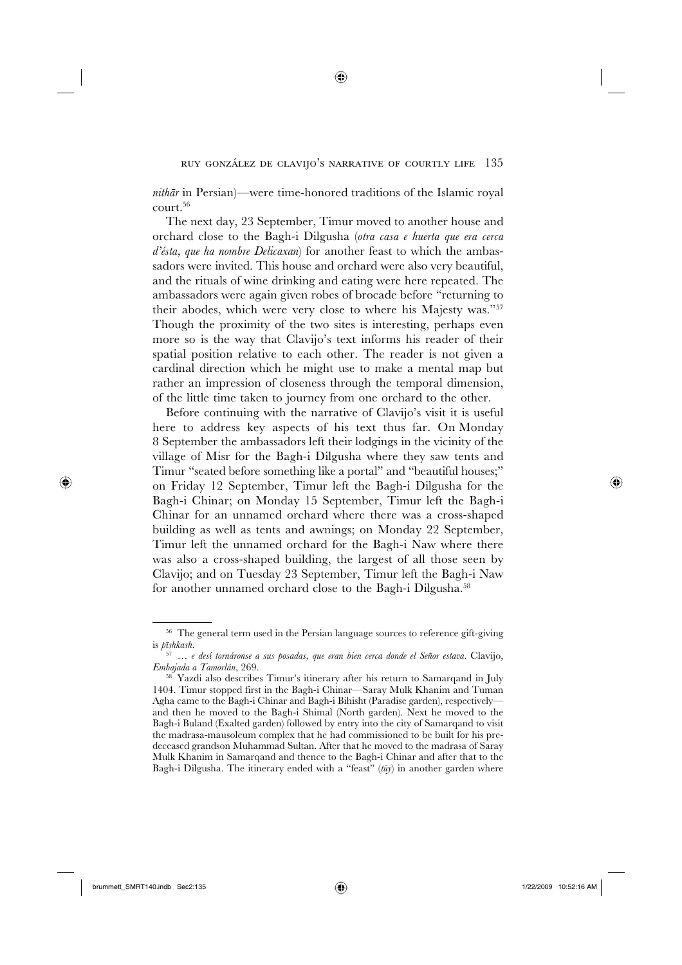*nith§r* in Persian)—were time-honored traditions of the Islamic royal court.<sup>56</sup>

The next day, 23 September, Timur moved to another house and orchard close to the Bagh-i Dilgusha (*otra casa e huerta que era cerca d'ésta, que ha nombre Delicaxan*) for another feast to which the ambassadors were invited. This house and orchard were also very beautiful, and the rituals of wine drinking and eating were here repeated. The ambassadors were again given robes of brocade before "returning to their abodes, which were very close to where his Majesty was."57 Though the proximity of the two sites is interesting, perhaps even more so is the way that Clavijo's text informs his reader of their spatial position relative to each other. The reader is not given a cardinal direction which he might use to make a mental map but rather an impression of closeness through the temporal dimension, of the little time taken to journey from one orchard to the other.

Before continuing with the narrative of Clavijo's visit it is useful here to address key aspects of his text thus far. On Monday 8 September the ambassadors left their lodgings in the vicinity of the village of Misr for the Bagh-i Dilgusha where they saw tents and Timur "seated before something like a portal" and "beautiful houses;" on Friday 12 September, Timur left the Bagh-i Dilgusha for the Bagh-i Chinar; on Monday 15 September, Timur left the Bagh-i Chinar for an unnamed orchard where there was a cross-shaped building as well as tents and awnings; on Monday 22 September, Timur left the unnamed orchard for the Bagh-i Naw where there was also a cross-shaped building, the largest of all those seen by Clavijo; and on Tuesday 23 September, Timur left the Bagh-i Naw for another unnamed orchard close to the Bagh-i Dilgusha.<sup>58</sup>

brummett\_SMRT140.indb Sec2:135 **a** and the state of the state of the state of the state of the state of the state of the state of the state of the state of the state of the state of the state of the state of the state of t

⊕

<sup>&</sup>lt;sup>56</sup> The general term used in the Persian language sources to reference gift-giving is *pÊshkash*.

<sup>57 …</sup> *e desí tornáronse a sus posadas, que eran bien cerca donde el Señor estava*. Clavijo, *Embajada a Tamorlán*, 269.

<sup>&</sup>lt;sup>58</sup> Yazdi also describes Timur's itinerary after his return to Samarqand in July 1404. Timur stopped first in the Bagh-i Chinar—Saray Mulk Khanim and Tuman Agha came to the Bagh-i Chinar and Bagh-i Bihisht (Paradise garden), respectively and then he moved to the Bagh-i Shimal (North garden). Next he moved to the Bagh-i Buland (Exalted garden) followed by entry into the city of Samarqand to visit the madrasa-mausoleum complex that he had commissioned to be built for his predeceased grandson Muhammad Sultan. After that he moved to the madrasa of Saray Mulk Khanim in Samarqand and thence to the Bagh-i Chinar and after that to the Bagh-i Dilgusha. The itinerary ended with a "feast" (*tåy*) in another garden where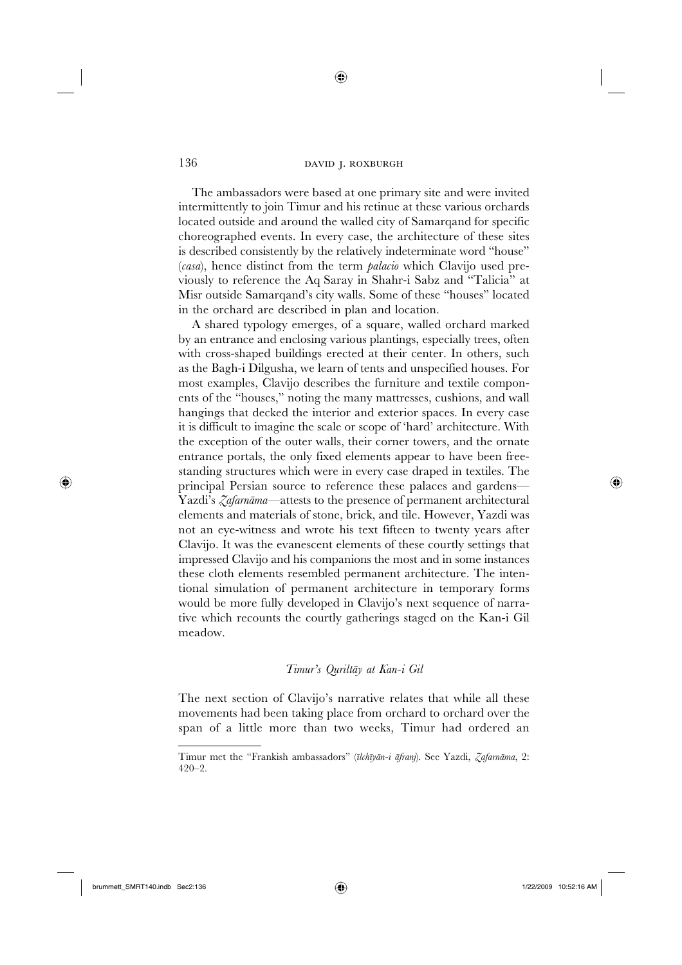The ambassadors were based at one primary site and were invited intermittently to join Timur and his retinue at these various orchards located outside and around the walled city of Samarqand for specific choreographed events. In every case, the architecture of these sites is described consistently by the relatively indeterminate word "house" (*casa*), hence distinct from the term *palacio* which Clavijo used previously to reference the Aq Saray in Shahr-i Sabz and "Talicia" at Misr outside Samarqand's city walls. Some of these "houses" located in the orchard are described in plan and location.

A shared typology emerges, of a square, walled orchard marked by an entrance and enclosing various plantings, especially trees, often with cross-shaped buildings erected at their center. In others, such as the Bagh-i Dilgusha, we learn of tents and unspecified houses. For most examples, Clavijo describes the furniture and textile components of the "houses," noting the many mattresses, cushions, and wall hangings that decked the interior and exterior spaces. In every case it is difficult to imagine the scale or scope of 'hard' architecture. With the exception of the outer walls, their corner towers, and the ornate entrance portals, the only fixed elements appear to have been freestanding structures which were in every case draped in textiles. The principal Persian source to reference these palaces and gardens— Yazdi's *Zafarnāma*—attests to the presence of permanent architectural elements and materials of stone, brick, and tile. However, Yazdi was not an eye-witness and wrote his text fifteen to twenty years after Clavijo. It was the evanescent elements of these courtly settings that impressed Clavijo and his companions the most and in some instances these cloth elements resembled permanent architecture. The intentional simulation of permanent architecture in temporary forms would be more fully developed in Clavijo's next sequence of narrative which recounts the courtly gatherings staged on the Kan-i Gil meadow.

### *Timur's Qurilt§y at Kan-i Gil*

The next section of Clavijo's narrative relates that while all these movements had been taking place from orchard to orchard over the span of a little more than two weeks, Timur had ordered an

brummett\_SMRT140.indb Sec2:136 **and 1/22/2009** 10:52:16 AM

⊕

⊕

Timur met the "Frankish ambassadors" (*ÊlchÊy§n-i §franj*). See Yazdi, *£afarn§ma*, 2: 420–2.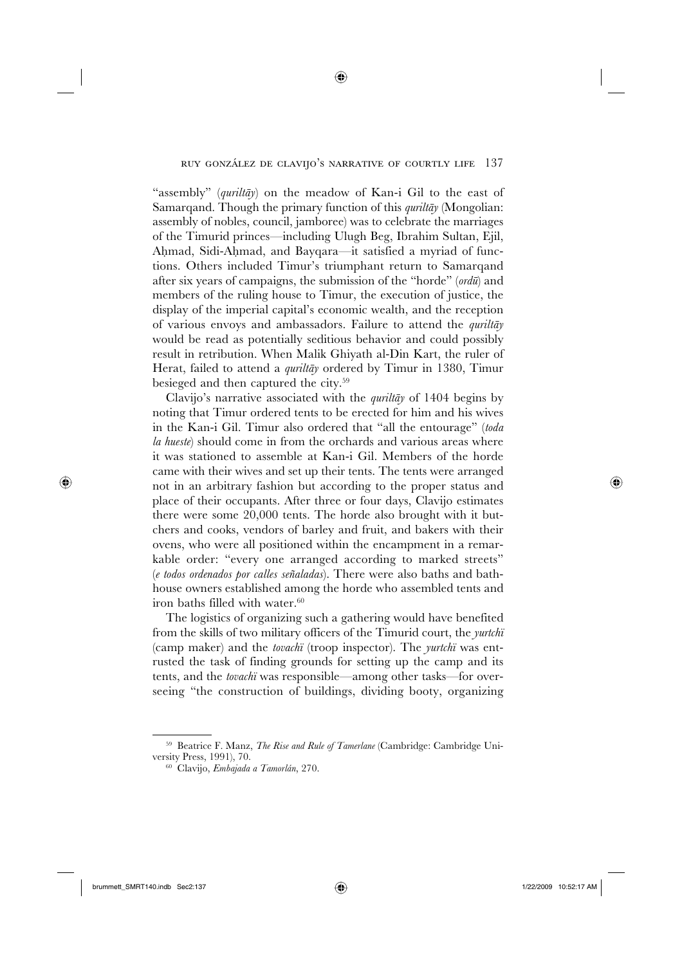" assembly" (*qurilt§y*) on the meadow of Kan-i Gil to the east of Samarqand. Though the primary function of this *qurilt§y* (Mongolian: assembly of nobles, council, jamboree) was to celebrate the marriages of the Timurid princes—including Ulugh Beg, Ibrahim Sultan, Ejil, Ahmad, Sidi-Ahmad, and Bayqara—it satisfied a myriad of functions. Others included Timur's triumphant return to Samarqand after six years of campaigns, the submission of the "horde" (*ordå*) and members of the ruling house to Timur, the execution of justice, the display of the imperial capital's economic wealth, and the reception of various envoys and ambassadors. Failure to attend the *qurilt§y* would be read as potentially seditious behavior and could possibly result in retribution. When Malik Ghiyath al-Din Kart, the ruler of Herat, failed to attend a *qurilt§y* ordered by Timur in 1380, Timur besieged and then captured the city.59

Clavijo's narrative associated with the *qurilt§y* of 1404 begins by noting that Timur ordered tents to be erected for him and his wives in the Kan-i Gil. Timur also ordered that "all the entourage" (*toda la hueste*) should come in from the orchards and various areas where it was stationed to assemble at Kan-i Gil. Members of the horde came with their wives and set up their tents. The tents were arranged not in an arbitrary fashion but according to the proper status and place of their occupants. After three or four days, Clavijo estimates there were some 20,000 tents. The horde also brought with it butchers and cooks, vendors of barley and fruit, and bakers with their ovens, who were all positioned within the encampment in a remarkable order: "every one arranged according to marked streets" (*e todos ordenados por calles señaladas*). There were also baths and bathhouse owners established among the horde who assembled tents and iron baths filled with water.<sup>60</sup>

The logistics of organizing such a gathering would have benefited from the skills of two military officers of the Timurid court, the *yurtchï* (camp maker) and the *tovachï* (troop inspector). The *yurtchï* was entrusted the task of finding grounds for setting up the camp and its tents, and the *tovachï* was responsible—among other tasks—for overseeing "the construction of buildings, dividing booty, organizing

brummett\_SMRT140.indb Sec2:137 **am in the section of the section of the section of the section of the section of the section of the section of the section of the section of the section of the section of the section of the** 

⊕

<sup>59</sup> Beatrice F. Manz, *The Rise and Rule of Tamerlane* (Cambridge: Cambridge University Press, 1991), 70.

<sup>60</sup> Clavijo, *Embajada a Tamorlán*, 270.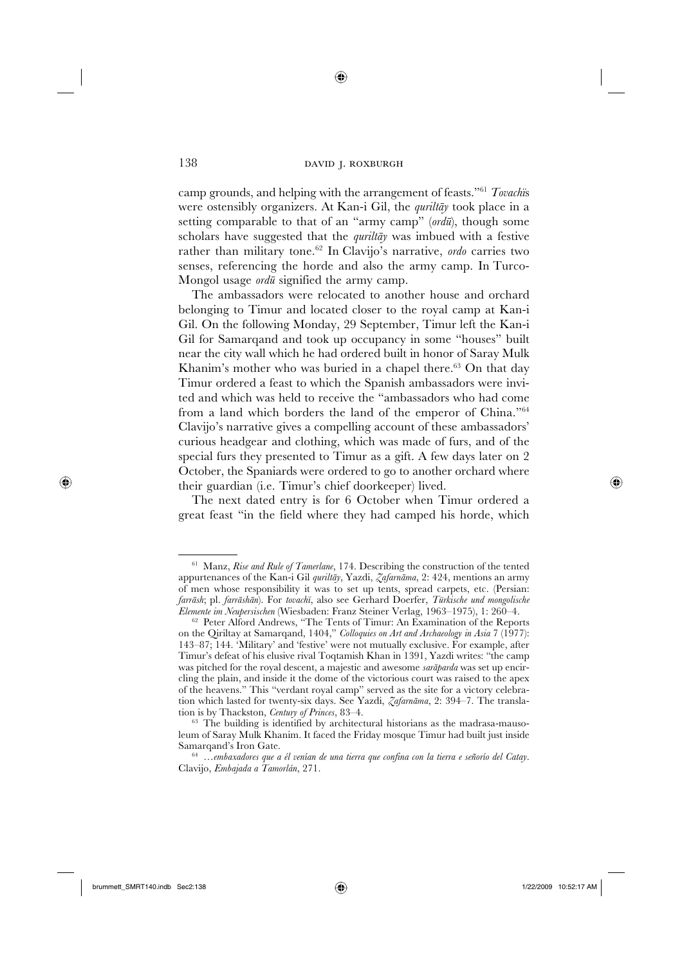◈

camp grounds, and helping with the arrangement of feasts."61 *Tovachï*s were ostensibly organizers. At Kan-i Gil, the *qurilt§y* took place in a setting comparable to that of an "army camp" (*ordå*), though some scholars have suggested that the *qurilt§y* was imbued with a festive rather than military tone.62 In Clavijo's narrative, *ordo* carries two senses, referencing the horde and also the army camp. In Turco-Mongol usage *ordå* signified the army camp.

The ambassadors were relocated to another house and orchard belonging to Timur and located closer to the royal camp at Kan-i Gil. On the following Monday, 29 September, Timur left the Kan-i Gil for Samarqand and took up occupancy in some "houses" built near the city wall which he had ordered built in honor of Saray Mulk Khanim's mother who was buried in a chapel there.<sup>63</sup> On that day Timur ordered a feast to which the Spanish ambassadors were invited and which was held to receive the "ambassadors who had come from a land which borders the land of the emperor of China."64 Clavijo's narrative gives a compelling account of these ambassadors' curious headgear and clothing, which was made of furs, and of the special furs they presented to Timur as a gift. A few days later on 2 October, the Spaniards were ordered to go to another orchard where their guardian (i.e. Timur's chief doorkeeper) lived.

The next dated entry is for 6 October when Timur ordered a great feast "in the field where they had camped his horde, which

⊕

<sup>61</sup> Manz, *Rise and Rule of Tamerlane*, 174. Describing the construction of the tented appurtenances of the Kan-i Gil *qurilt§y*, Yazdi, *£afarn§ma*, 2: 424, mentions an army of men whose responsibility it was to set up tents, spread carpets, etc. (Persian: *farr§sh*; pl. *farr§sh§n*). For *tovachï*, also see Gerhard Doerfer, *Türkische und mongolische Elemente im Neupersischen* (Wiesbaden: Franz Steiner Verlag, 1963–1975), 1: 260–4.

<sup>&</sup>lt;sup>62</sup> Peter Alford Andrews, "The Tents of Timur: An Examination of the Reports on the Qiriltay at Samarqand, 1404," *Colloquies on Art and Archaeology in Asia* 7 (1977): 143–87; 144. 'Military' and 'festive' were not mutually exclusive. For example, after Timur's defeat of his elusive rival Toqtamish Khan in 1391, Yazdi writes: "the camp was pitched for the royal descent, a majestic and awesome *sar§parda* was set up encircling the plain, and inside it the dome of the victorious court was raised to the apex of the heavens." This "verdant royal camp" served as the site for a victory celebration which lasted for twenty-six days. See Yazdi,  $\zeta$ afarnāma, 2: 394–7. The translation is by Thackston, *Century of Princes*, 83–4.

<sup>63</sup> The building is identified by architectural historians as the madrasa-mausoleum of Saray Mulk Khanim. It faced the Friday mosque Timur had built just inside Samarqand's Iron Gate.

<sup>64 …</sup>*embaxadores que a él venían de una tierra que confina con la tierra e señorío del Catay*. Clavijo, *Embajada a Tamorlán*, 271.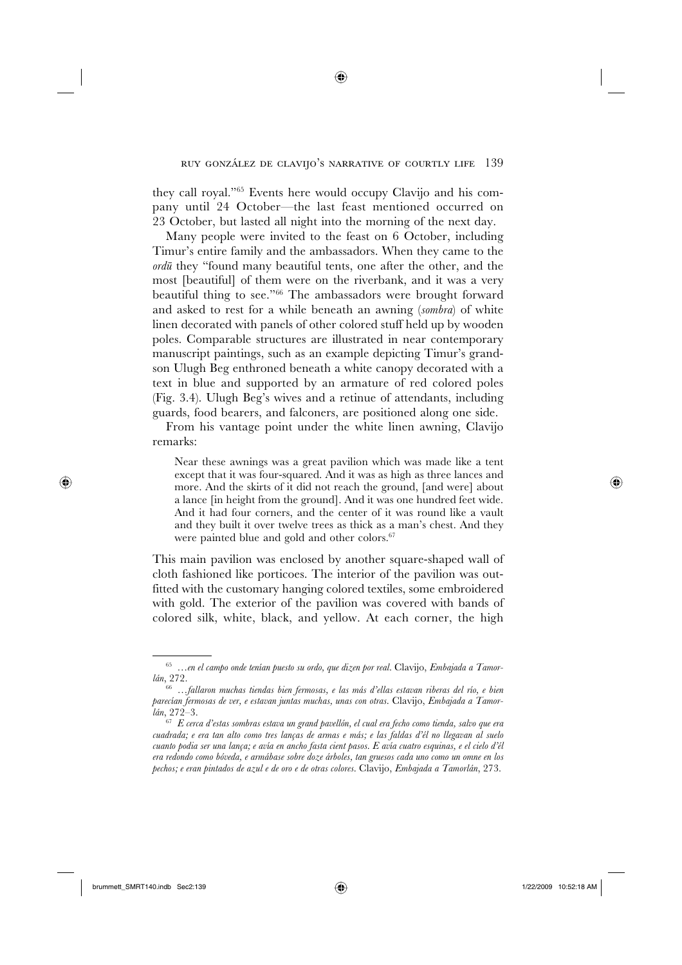they call royal."65 Events here would occupy Clavijo and his company until 24 October—the last feast mentioned occurred on 23 October, but lasted all night into the morning of the next day.

Many people were invited to the feast on 6 October, including Timur's entire family and the ambassadors. When they came to the *ordå* they "found many beautiful tents, one after the other, and the most [beautiful] of them were on the riverbank, and it was a very beautiful thing to see."66 The ambassadors were brought forward and asked to rest for a while beneath an awning (*sombra*) of white linen decorated with panels of other colored stuff held up by wooden poles. Comparable structures are illustrated in near contemporary manuscript paintings, such as an example depicting Timur's grandson Ulugh Beg enthroned beneath a white canopy decorated with a text in blue and supported by an armature of red colored poles (Fig. 3.4). Ulugh Beg's wives and a retinue of attendants, including guards, food bearers, and falconers, are positioned along one side.

From his vantage point under the white linen awning, Clavijo remarks:

Near these awnings was a great pavilion which was made like a tent except that it was four-squared. And it was as high as three lances and more. And the skirts of it did not reach the ground, [and were] about a lance [in height from the ground]. And it was one hundred feet wide. And it had four corners, and the center of it was round like a vault and they built it over twelve trees as thick as a man's chest. And they were painted blue and gold and other colors.<sup>67</sup>

This main pavilion was enclosed by another square-shaped wall of cloth fashioned like porticoes. The interior of the pavilion was outfitted with the customary hanging colored textiles, some embroidered with gold. The exterior of the pavilion was covered with bands of colored silk, white, black, and yellow. At each corner, the high

⊕

<sup>65 …</sup>*en el campo onde tenían puesto su ordo, que dizen por real*. Clavijo, *Embajada a Tamorlán*, 272.

<sup>66 …</sup>*fallaron muchas tiendas bien fermosas, e las más d'ellas estavan riberas del río, e bien parecían fermosas de ver, e estavan juntas muchas, unas con otras*. Clavijo, *Embajada a Tamorlán*, 272–3.

<sup>67</sup> *E cerca d'estas sombras estava un grand pavellón, el cual era fecho como tienda, salvo que era cuadrada; e era tan alto como tres lanças de armas e más; e las faldas d'él no llegavan al suelo cuanto podia ser una lança; e avía en ancho fasta cient pasos. E avía cuatro esquinas, e el cielo d'él era redondo como bóveda, e armábase sobre doze árboles, tan gruesos cada uno como un omne en los pechos; e eran pintados de azul e de oro e de otras colores*. Clavijo, *Embajada a Tamorlán*, 273.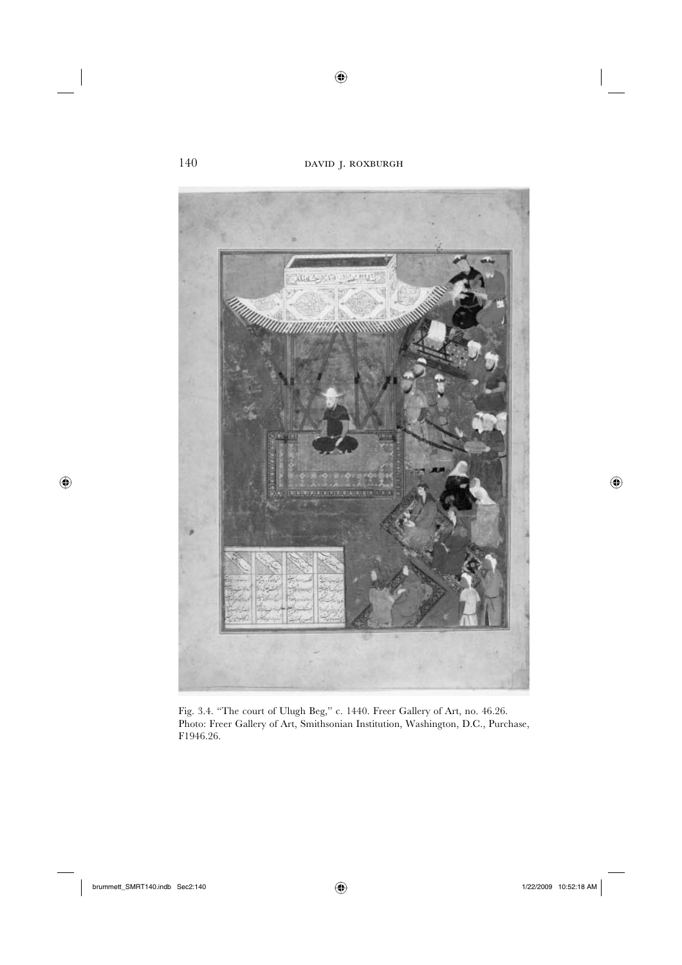

 $\bigoplus$ 



Fig. 3.4. "The court of Ulugh Beg," c. 1440. Freer Gallery of Art, no. 46.26. Photo: Freer Gallery of Art, Smithsonian Institution, Washington, D.C., Purchase, F1946.26.

 $\bigoplus$ 

 $\bigoplus$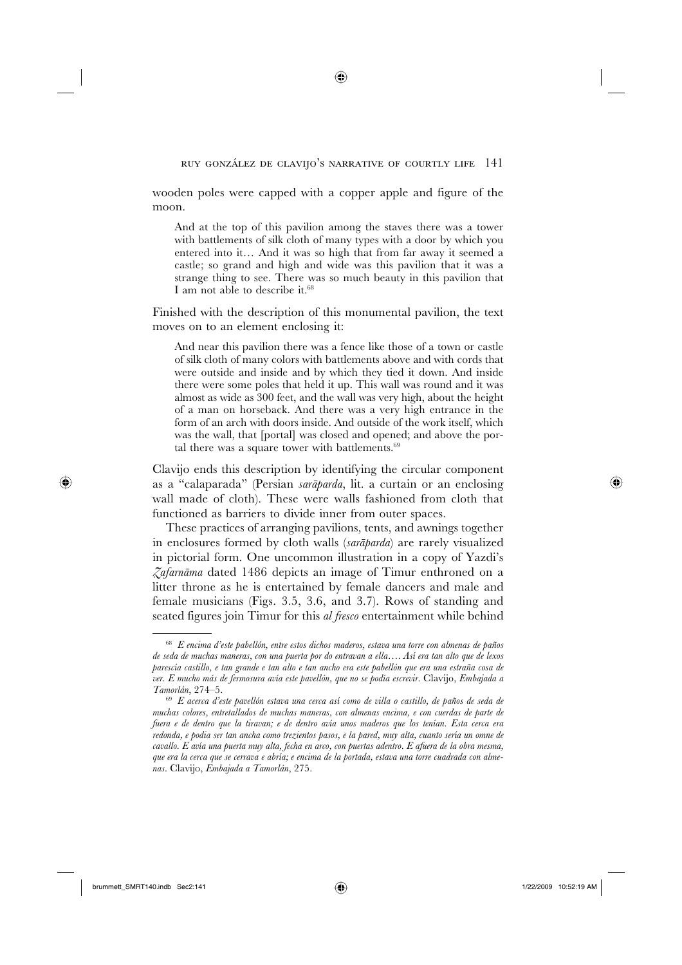wooden poles were capped with a copper apple and figure of the moon.

And at the top of this pavilion among the staves there was a tower with battlements of silk cloth of many types with a door by which you entered into it… And it was so high that from far away it seemed a castle; so grand and high and wide was this pavilion that it was a strange thing to see. There was so much beauty in this pavilion that I am not able to describe it.<sup>68</sup>

Finished with the description of this monumental pavilion, the text moves on to an element enclosing it:

And near this pavilion there was a fence like those of a town or castle of silk cloth of many colors with battlements above and with cords that were outside and inside and by which they tied it down. And inside there were some poles that held it up. This wall was round and it was almost as wide as 300 feet, and the wall was very high, about the height of a man on horseback. And there was a very high entrance in the form of an arch with doors inside. And outside of the work itself, which was the wall, that [portal] was closed and opened; and above the portal there was a square tower with battlements.<sup>69</sup>

Clavijo ends this description by identifying the circular component as a "calaparada" (Persian *sar§parda*, lit. a curtain or an enclosing wall made of cloth). These were walls fashioned from cloth that functioned as barriers to divide inner from outer spaces.

These practices of arranging pavilions, tents, and awnings together in enclosures formed by cloth walls (*sar§parda*) are rarely visualized in pictorial form. One uncommon illustration in a copy of Yazdi's *£afarn§ma* dated 1486 depicts an image of Timur enthroned on a litter throne as he is entertained by female dancers and male and female musicians (Figs. 3.5, 3.6, and 3.7). Rows of standing and seated figures join Timur for this *al fresco* entertainment while behind

⊕

<sup>68</sup> *E encima d'este pabellón, entre estos dichos maderos, estava una torre con almenas de paños de seda de muchas maneras, con una puerta por do entravan a ella…. Así era tan alto que de lexos parescía castillo, e tan grande e tan alto e tan ancho era este pabellón que era una estraña cosa de ver. E mucho más de fermosura avía este pavellón, que no se podía escrevir*. Clavijo, *Embajada a Tamorlán*, 274–5.

<sup>69</sup> *E acerca d'este pavellón estava una cerca así como de villa o castillo, de paños de seda de muchas colores, entretallados de muchas maneras, con almenas encima, e con cuerdas de parte de fuera e de dentro que la tiravan; e de dentro avía unos maderos que los tenían. Esta cerca era redonda, e podia ser tan ancha como trezientos pasos, e la pared, muy alta, cuanto sería un omne de cavallo. E avía una puerta muy alta, fecha en arco, con puertas adentro. E afuera de la obra mesma, que era la cerca que se cerrava e abría; e encima de la portada, estava una torre cuadrada con almenas*. Clavijo, *Embajada a Tamorlán*, 275.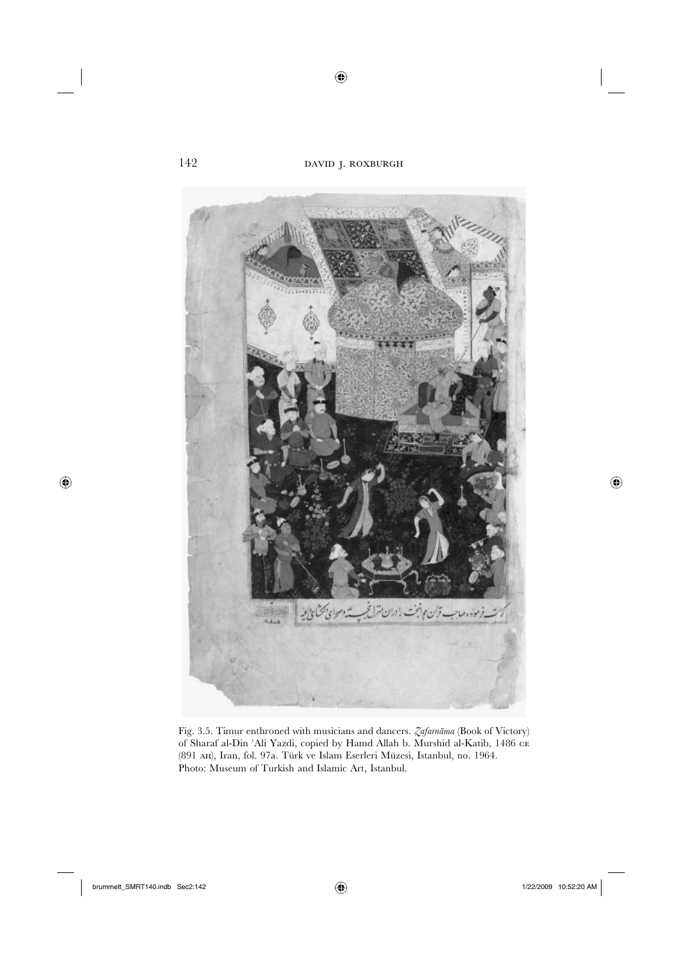![](_page_29_Figure_0.jpeg)

 $\bigoplus$ 

![](_page_29_Picture_1.jpeg)

Fig. 3.5. Timur enthroned with musicians and dancers. *£afarn§ma* (Book of Victory) of Sharaf al-Din 'Ali Yazdi, copied by Hamd Allah b. Murshid al-Katib, 1486 CE (891 ah), Iran, fol. 97a. Türk ve Islam Eserleri Müzesi, Istanbul, no. 1964. Photo: Museum of Turkish and Islamic Art, Istanbul.

 $\bigoplus$ 

 $\bigoplus$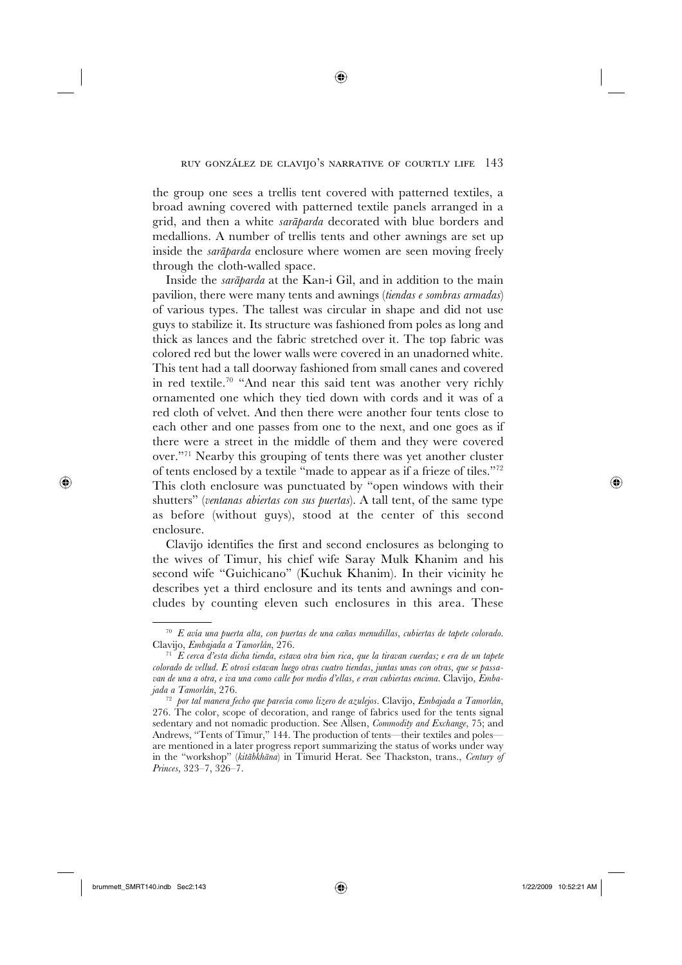the group one sees a trellis tent covered with patterned textiles, a broad awning covered with patterned textile panels arranged in a grid, and then a white *sar§parda* decorated with blue borders and medallions. A number of trellis tents and other awnings are set up inside the *sar§parda* enclosure where women are seen moving freely through the cloth-walled space.

Inside the *sar§parda* at the Kan-i Gil, and in addition to the main pavilion, there were many tents and awnings (*tiendas e sombras armadas*) of various types. The tallest was circular in shape and did not use guys to stabilize it. Its structure was fashioned from poles as long and thick as lances and the fabric stretched over it. The top fabric was colored red but the lower walls were covered in an unadorned white. This tent had a tall doorway fashioned from small canes and covered in red textile.70 "And near this said tent was another very richly ornamented one which they tied down with cords and it was of a red cloth of velvet. And then there were another four tents close to each other and one passes from one to the next, and one goes as if there were a street in the middle of them and they were covered over."71 Nearby this grouping of tents there was yet another cluster of tents enclosed by a textile "made to appear as if a frieze of tiles."72 This cloth enclosure was punctuated by "open windows with their shutters" (*ventanas abiertas con sus puertas*). A tall tent, of the same type as before (without guys), stood at the center of this second enclosure.

Clavijo identifies the first and second enclosures as belonging to the wives of Timur, his chief wife Saray Mulk Khanim and his second wife "Guichicano" (Kuchuk Khanim). In their vicinity he describes yet a third enclosure and its tents and awnings and concludes by counting eleven such enclosures in this area. These

brummett\_SMRT140.indb Sec2:143 **a 1**/22/2009 10:52:21 AM **1/22/2009** 10:52:21 AM

⊕

<sup>70</sup> *E avía una puerta alta, con puertas de una cañas menudillas, cubiertas de tapete colorado*. Clavijo, *Embajada a Tamorlán*, 276.

<sup>71</sup> *E cerca d'esta dicha tienda, estava otra bien rica, que la tiravan cuerdas; e era de un tapete colorado de vellud. E otrosí estavan luego otras cuatro tiendas, juntas unas con otras, que se passavan de una a otra, e iva una como calle por medio d'ellas, e eran cubiertas encima*. Clavijo, *Embajada a Tamorlán*, 276.

<sup>72</sup> *por tal manera fecho que parecía como lizero de azulejos*. Clavijo, *Embajada a Tamorlán*, 276. The color, scope of decoration, and range of fabrics used for the tents signal sedentary and not nomadic production. See Allsen, *Commodity and Exchange*, 75; and Andrews, "Tents of Timur," 144. The production of tents—their textiles and poles are mentioned in a later progress report summarizing the status of works under way in the "workshop" (*kit§bkh§na*) in Timurid Herat. See Thackston, trans., *Century of Princes*, 323–7, 326–7.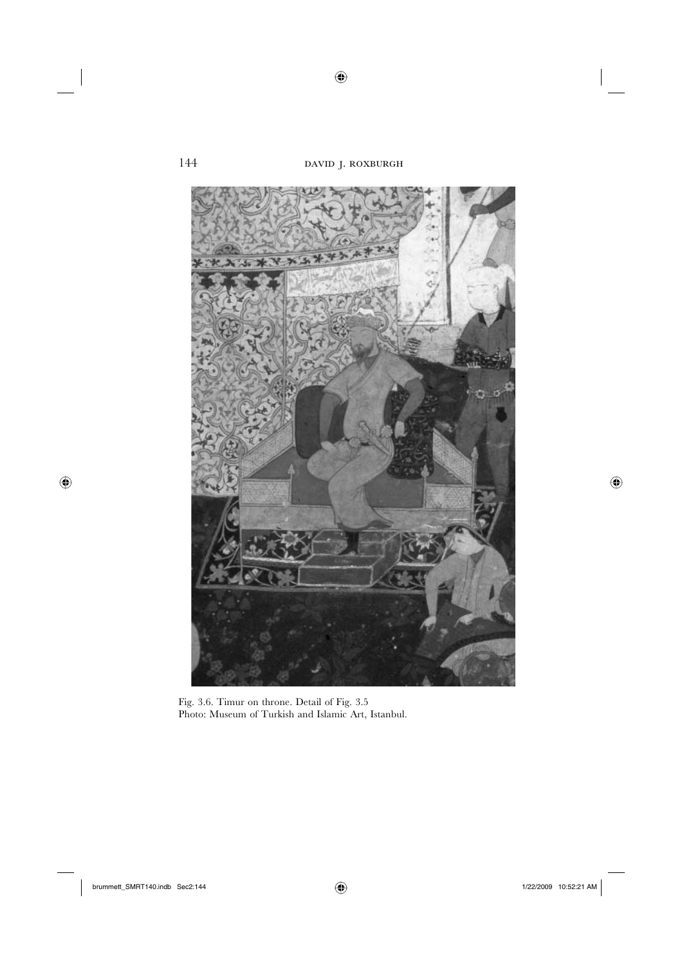144 **david DAVID J. ROXBURGH** 

 $\bigcirc$ 

![](_page_31_Picture_1.jpeg)

Fig. 3.6. Timur on throne. Detail of Fig. 3.5 Photo: Museum of Turkish and Islamic Art, Istanbul.

 $\bigoplus$ 

 $\bigoplus$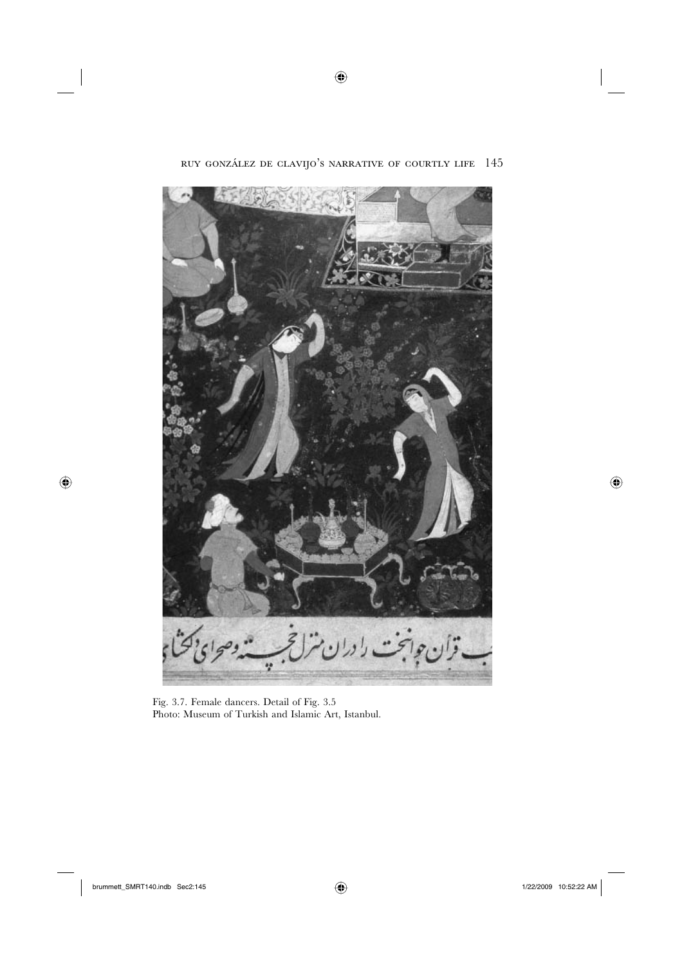![](_page_32_Picture_0.jpeg)

ruy gonzález de clavijo's narrative of courtly life 145

 $\bigoplus$ 

Fig. 3.7. Female dancers. Detail of Fig. 3.5 Photo: Museum of Turkish and Islamic Art, Istanbul.

 $\bigoplus$ 

 $\bigoplus$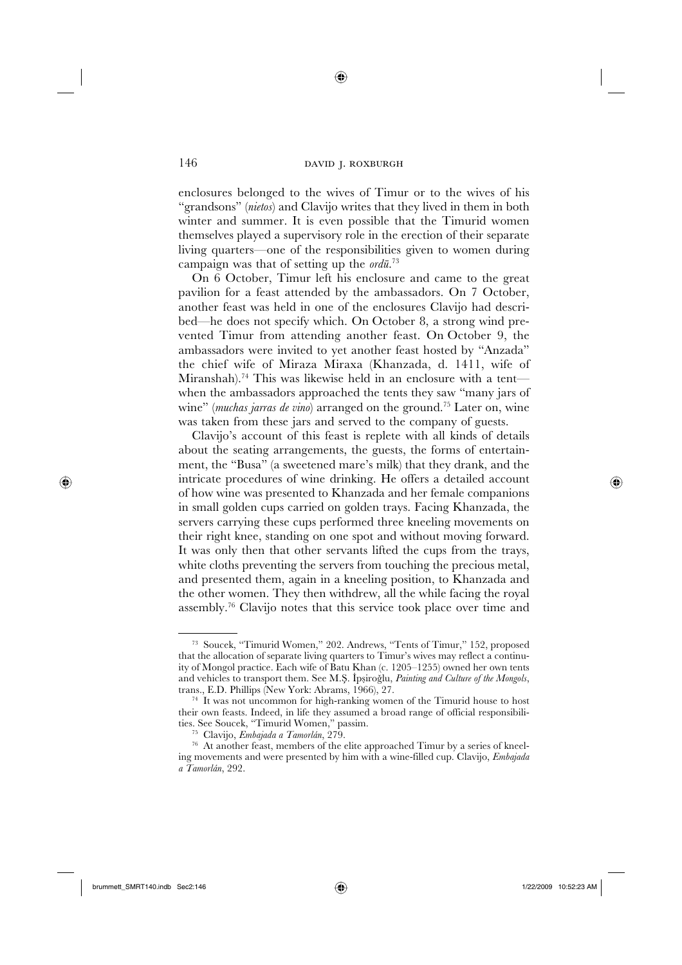◈

 enclosures belonged to the wives of Timur or to the wives of his "grandsons" (*nietos*) and Clavijo writes that they lived in them in both winter and summer. It is even possible that the Timurid women themselves played a supervisory role in the erection of their separate living quarters—one of the responsibilities given to women during campaign was that of setting up the *ordå*. 73

On 6 October, Timur left his enclosure and came to the great pavilion for a feast attended by the ambassadors. On 7 October, another feast was held in one of the enclosures Clavijo had described—he does not specify which. On October 8, a strong wind prevented Timur from attending another feast. On October 9, the ambassadors were invited to yet another feast hosted by "Anzada" the chief wife of Miraza Miraxa (Khanzada, d. 1411, wife of Miranshah).<sup>74</sup> This was likewise held in an enclosure with a tentwhen the ambassadors approached the tents they saw "many jars of wine" (*muchas jarras de vino*) arranged on the ground.<sup>75</sup> Later on, wine was taken from these jars and served to the company of guests.

Clavijo's account of this feast is replete with all kinds of details about the seating arrangements, the guests, the forms of entertainment, the "Busa" (a sweetened mare's milk) that they drank, and the intricate procedures of wine drinking. He offers a detailed account of how wine was presented to Khanzada and her female companions in small golden cups carried on golden trays. Facing Khanzada, the servers carrying these cups performed three kneeling movements on their right knee, standing on one spot and without moving forward. It was only then that other servants lifted the cups from the trays, white cloths preventing the servers from touching the precious metal, and presented them, again in a kneeling position, to Khanzada and the other women. They then withdrew, all the while facing the royal assembly.76 Clavijo notes that this service took place over time and

⊕

<sup>73</sup> Soucek, "Timurid Women," 202. Andrews, "Tents of Timur," 152, proposed that the allocation of separate living quarters to Timur's wives may reflect a continuity of Mongol practice. Each wife of Batu Khan (c. 1205–1255) owned her own tents and vehicles to transport them. See M.S. Ipsiroğlu, *Painting and Culture of the Mongols*, trans., E.D. Phillips (New York: Abrams, 1966), 27.

<sup>&</sup>lt;sup>74</sup> It was not uncommon for high-ranking women of the Timurid house to host their own feasts. Indeed, in life they assumed a broad range of official responsibilities. See Soucek, "Timurid Women," passim.

<sup>75</sup> Clavijo, *Embajada a Tamorlán*, 279.

<sup>76</sup> At another feast, members of the elite approached Timur by a series of kneeling movements and were presented by him with a wine-filled cup. Clavijo, *Embajada a Tamorlán*, 292.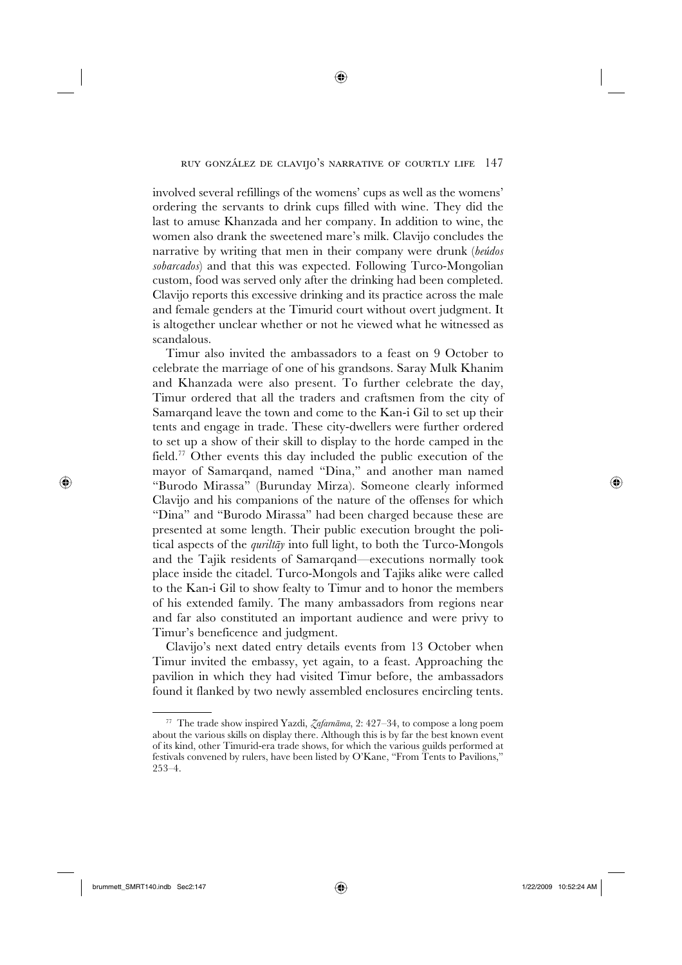involved several refillings of the womens' cups as well as the womens' ordering the servants to drink cups filled with wine. They did the last to amuse Khanzada and her company. In addition to wine, the women also drank the sweetened mare's milk. Clavijo concludes the narrative by writing that men in their company were drunk (*beúdos sobarcados*) and that this was expected. Following Turco-Mongolian custom, food was served only after the drinking had been completed. Clavijo reports this excessive drinking and its practice across the male and female genders at the Timurid court without overt judgment. It is altogether unclear whether or not he viewed what he witnessed as scandalous.

Timur also invited the ambassadors to a feast on 9 October to celebrate the marriage of one of his grandsons. Saray Mulk Khanim and Khanzada were also present. To further celebrate the day, Timur ordered that all the traders and craftsmen from the city of Samarqand leave the town and come to the Kan-i Gil to set up their tents and engage in trade. These city-dwellers were further ordered to set up a show of their skill to display to the horde camped in the field.77 Other events this day included the public execution of the mayor of Samarqand, named "Dina," and another man named "Burodo Mirassa" (Burunday Mirza). Someone clearly informed Clavijo and his companions of the nature of the offenses for which "Dina" and "Burodo Mirassa" had been charged because these are presented at some length. Their public execution brought the political aspects of the *qurilt§y* into full light, to both the Turco-Mongols and the Tajik residents of Samarqand—executions normally took place inside the citadel. Turco-Mongols and Tajiks alike were called to the Kan-i Gil to show fealty to Timur and to honor the members of his extended family. The many ambassadors from regions near and far also constituted an important audience and were privy to Timur's beneficence and judgment.

Clavijo's next dated entry details events from 13 October when Timur invited the embassy, yet again, to a feast. Approaching the pavilion in which they had visited Timur before, the ambassadors found it flanked by two newly assembled enclosures encircling tents.

brummett\_SMRT140.indb Sec2:147 **a 1**/22/2009 10:52:24 AM **1/22/2009** 10:52:24 AM

⊕

<sup>&</sup>lt;sup>77</sup> The trade show inspired Yazdi,  $\zeta_0$  farnāma, 2: 427–34, to compose a long poem about the various skills on display there. Although this is by far the best known event of its kind, other Timurid-era trade shows, for which the various guilds performed at festivals convened by rulers, have been listed by O'Kane, "From Tents to Pavilions," 253–4.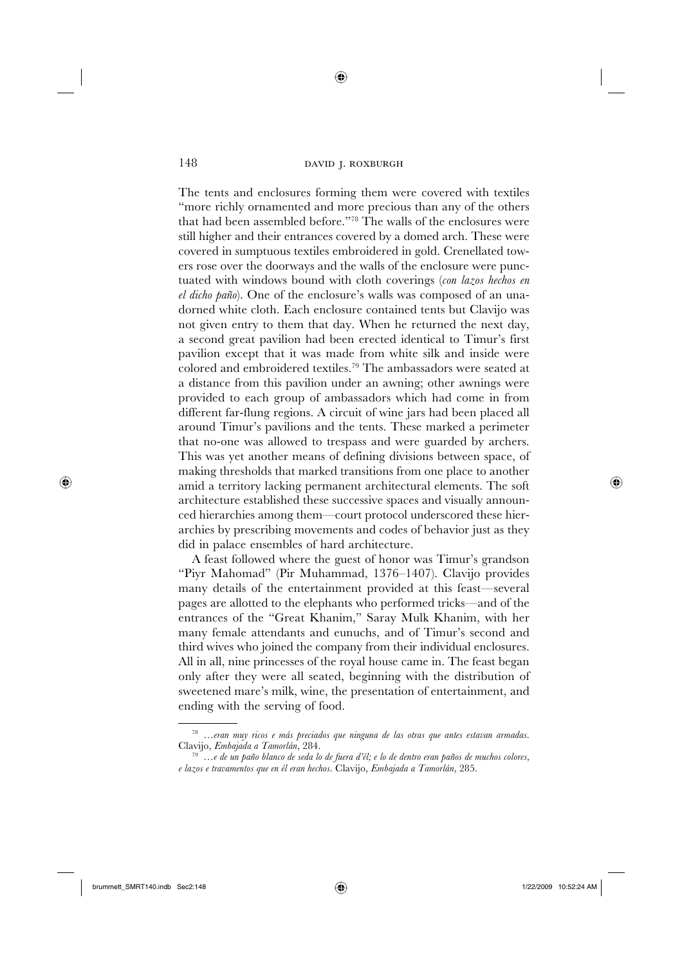◈

The tents and enclosures forming them were covered with textiles "more richly ornamented and more precious than any of the others that had been assembled before."78 The walls of the enclosures were still higher and their entrances covered by a domed arch. These were covered in sumptuous textiles embroidered in gold. Crenellated towers rose over the doorways and the walls of the enclosure were punctuated with windows bound with cloth coverings (*con lazos hechos en el dicho paño*). One of the enclosure's walls was composed of an unadorned white cloth. Each enclosure contained tents but Clavijo was not given entry to them that day. When he returned the next day, a second great pavilion had been erected identical to Timur's first pavilion except that it was made from white silk and inside were colored and embroidered textiles.79 The ambassadors were seated at a distance from this pavilion under an awning; other awnings were provided to each group of ambassadors which had come in from different far-flung regions. A circuit of wine jars had been placed all around Timur's pavilions and the tents. These marked a perimeter that no-one was allowed to trespass and were guarded by archers. This was yet another means of defining divisions between space, of making thresholds that marked transitions from one place to another amid a territory lacking permanent architectural elements. The soft architecture established these successive spaces and visually announced hierarchies among them—court protocol underscored these hierarchies by prescribing movements and codes of behavior just as they did in palace ensembles of hard architecture.

A feast followed where the guest of honor was Timur's grandson "Piyr Mahomad" (Pir Muhammad, 1376–1407). Clavijo provides many details of the entertainment provided at this feast—several pages are allotted to the elephants who performed tricks—and of the entrances of the "Great Khanim," Saray Mulk Khanim, with her many female attendants and eunuchs, and of Timur's second and third wives who joined the company from their individual enclosures. All in all, nine princesses of the royal house came in. The feast began only after they were all seated, beginning with the distribution of sweetened mare's milk, wine, the presentation of entertainment, and ending with the serving of food.

brummett\_SMRT140.indb Sec2:148 **a 1**/22/2009 10:52:24 AM **1/22/2009** 10:52:24 AM

⊕

<sup>78 …</sup>*eran muy ricos e más preciados que ninguna de las otras que antes estavan armadas*. Clavijo, *Embajada a Tamorlán*, 284.

<sup>79 …</sup>*e de un paño blanco de seda lo de fuera d'él; e lo de dentro eran paños de muchos colores, e lazos e travamentos que en él eran hechos*. Clavijo, *Embajada a Tamorlán*, 285.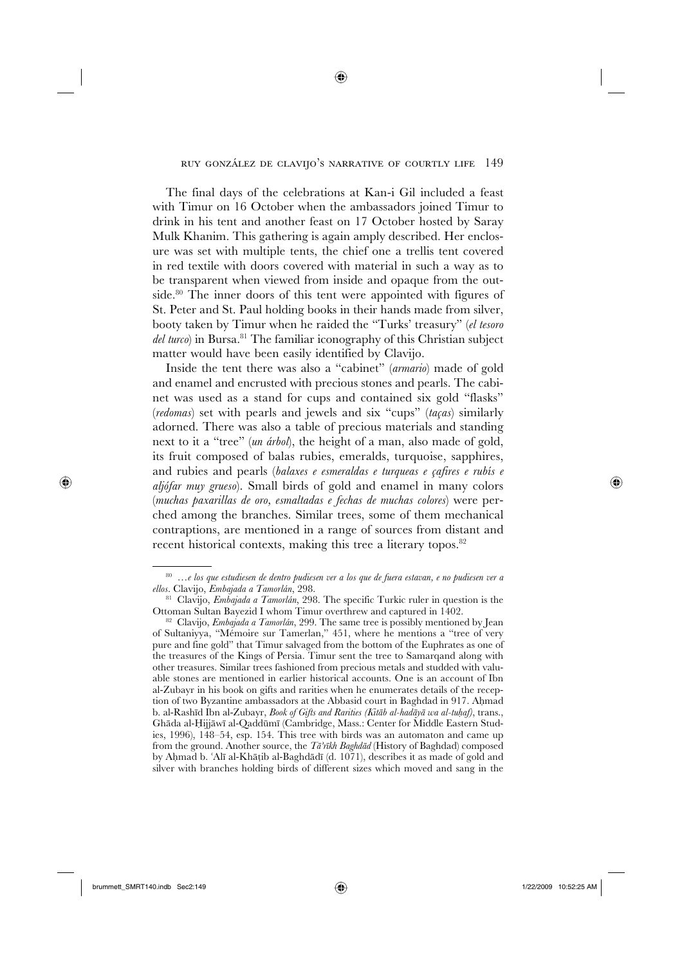#### ruy gonzález de clavijo's narrative of courtly life 149

The final days of the celebrations at Kan-i Gil included a feast with Timur on 16 October when the ambassadors joined Timur to drink in his tent and another feast on 17 October hosted by Saray Mulk Khanim. This gathering is again amply described. Her enclosure was set with multiple tents, the chief one a trellis tent covered in red textile with doors covered with material in such a way as to be transparent when viewed from inside and opaque from the outside.<sup>80</sup> The inner doors of this tent were appointed with figures of St. Peter and St. Paul holding books in their hands made from silver, booty taken by Timur when he raided the "Turks' treasury" (*el tesoro*  del turco) in Bursa.<sup>81</sup> The familiar iconography of this Christian subject matter would have been easily identified by Clavijo.

Inside the tent there was also a "cabinet" (*armario*) made of gold and enamel and encrusted with precious stones and pearls. The cabinet was used as a stand for cups and contained six gold "flasks" (*redomas*) set with pearls and jewels and six "cups" (*taças*) similarly adorned. There was also a table of precious materials and standing next to it a "tree" (*un árbol*), the height of a man, also made of gold, its fruit composed of balas rubies, emeralds, turquoise, sapphires, and rubies and pearls (*balaxes e esmeraldas e turqueas e çafires e rubís e aljófar muy grueso*). Small birds of gold and enamel in many colors (*muchas paxarillas de oro, esmaltadas e fechas de muchas colores*) were perched among the branches. Similar trees, some of them mechanical contraptions, are mentioned in a range of sources from distant and recent historical contexts, making this tree a literary topos.<sup>82</sup>

⊕

<sup>80 …</sup>*e los que estudiesen de dentro pudiesen ver a los que de fuera estavan, e no pudiesen ver a ellos*. Clavijo, *Embajada a Tamorlán*, 298.

<sup>81</sup> Clavijo, *Embajada a Tamorlán*, 298. The specific Turkic ruler in question is the Ottoman Sultan Bayezid I whom Timur overthrew and captured in 1402.

<sup>82</sup> Clavijo, *Embajada a Tamorlán*, 299. The same tree is possibly mentioned by Jean of Sultaniyya, "Mémoire sur Tamerlan," 451, where he mentions a "tree of very pure and fine gold" that Timur salvaged from the bottom of the Euphrates as one of the treasures of the Kings of Persia. Timur sent the tree to Samarqand along with other treasures. Similar trees fashioned from precious metals and studded with valuable stones are mentioned in earlier historical accounts. One is an account of Ibn al-Zubayr in his book on gifts and rarities when he enumerates details of the reception of two Byzantine ambassadors at the Abbasid court in Baghdad in 917. Ahmad b. al-Rashīd Ibn al-Zubayr, *Book of Gifts and Rarities (Kitāb al-hadāyā wa al-tuḥaf)*, trans., Ghāda al-Ḥijjāwī al-Qaddūmī (Cambridge, Mass.: Center for Middle Eastern Studies, 1996), 148–54, esp. 154. This tree with birds was an automaton and came up from the ground. Another source, the *T§"rÊkh Baghd§d* (History of Baghdad) composed by Aḥmad b. 'Alī al-Khāṭib al-Baghdādī (d. 1071), describes it as made of gold and silver with branches holding birds of different sizes which moved and sang in the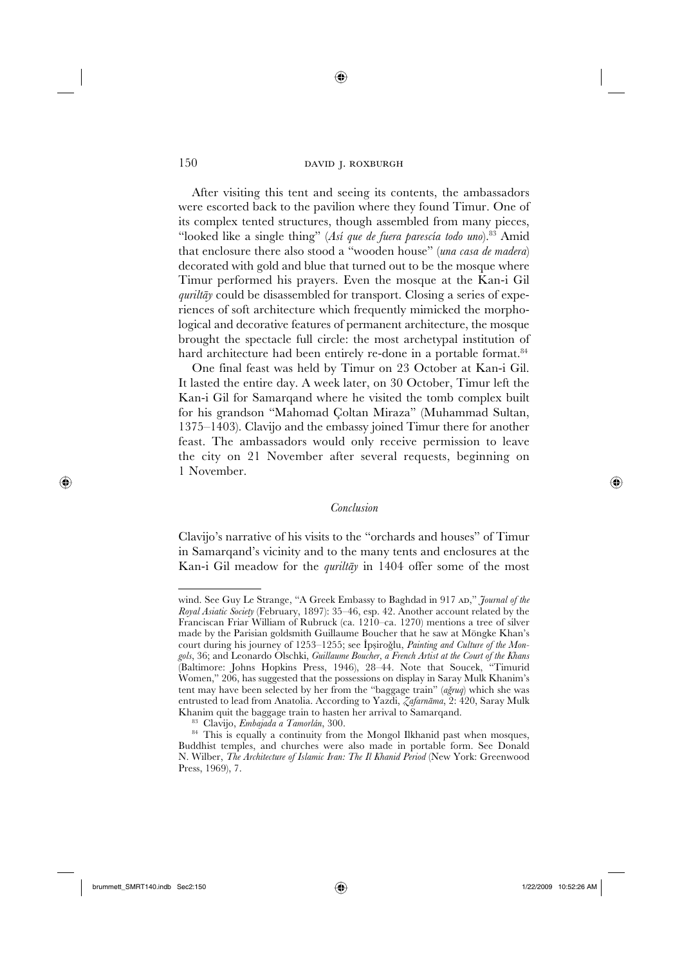# 150 **david DAVID** J. ROXBURGH

◈

After visiting this tent and seeing its contents, the ambassadors were escorted back to the pavilion where they found Timur. One of its complex tented structures, though assembled from many pieces, "looked like a single thing" (*Así que de fuera parescía todo uno*).83 Amid that enclosure there also stood a "wooden house" (*una casa de madera*) decorated with gold and blue that turned out to be the mosque where Timur performed his prayers. Even the mosque at the Kan-i Gil *quriltay* could be disassembled for transport. Closing a series of experiences of soft architecture which frequently mimicked the morphological and decorative features of permanent architecture, the mosque brought the spectacle full circle: the most archetypal institution of hard architecture had been entirely re-done in a portable format.<sup>84</sup>

One final feast was held by Timur on 23 October at Kan-i Gil. It lasted the entire day. A week later, on 30 October, Timur left the Kan-i Gil for Samarqand where he visited the tomb complex built for his grandson "Mahomad Çoltan Miraza" (Muhammad Sultan, 1375–1403). Clavijo and the embassy joined Timur there for another feast. The ambassadors would only receive permission to leave the city on 21 November after several requests, beginning on 1 November.

#### *Conclusion*

Clavijo's narrative of his visits to the "orchards and houses" of Timur in Samarqand's vicinity and to the many tents and enclosures at the Kan-i Gil meadow for the *qurilt§y* in 1404 offer some of the most

⊕

wind. See Guy Le Strange, "A Greek Embassy to Baghdad in 917 AD," *Journal of the Royal Asiatic Society* (February, 1897): 35–46, esp. 42. Another account related by the Franciscan Friar William of Rubruck (ca. 1210–ca. 1270) mentions a tree of silver made by the Parisian goldsmith Guillaume Boucher that he saw at Möngke Khan's court during his journey of 1253-1255; see Ipsiroğlu, *Painting and Culture of the Mongols*, 36; and Leonardo Olschki, *Guillaume Boucher, a French Artist at the Court of the Khans* (Baltimore: Johns Hopkins Press, 1946), 28–44. Note that Soucek, "Timurid Women," 206, has suggested that the possessions on display in Saray Mulk Khanim's tent may have been selected by her from the "baggage train" (*ağruq*) which she was entrusted to lead from Anatolia. According to Yazdi,  $\zeta$ afarnāma, 2: 420, Saray Mulk Khanim quit the baggage train to hasten her arrival to Samarqand.

<sup>83</sup> Clavijo, *Embajada a Tamorlán*, 300.

<sup>&</sup>lt;sup>84</sup> This is equally a continuity from the Mongol Ilkhanid past when mosques, Buddhist temples, and churches were also made in portable form. See Donald N. Wilber, *The Architecture of Islamic Iran: The Il Khanid Period* (New York: Greenwood Press, 1969), 7.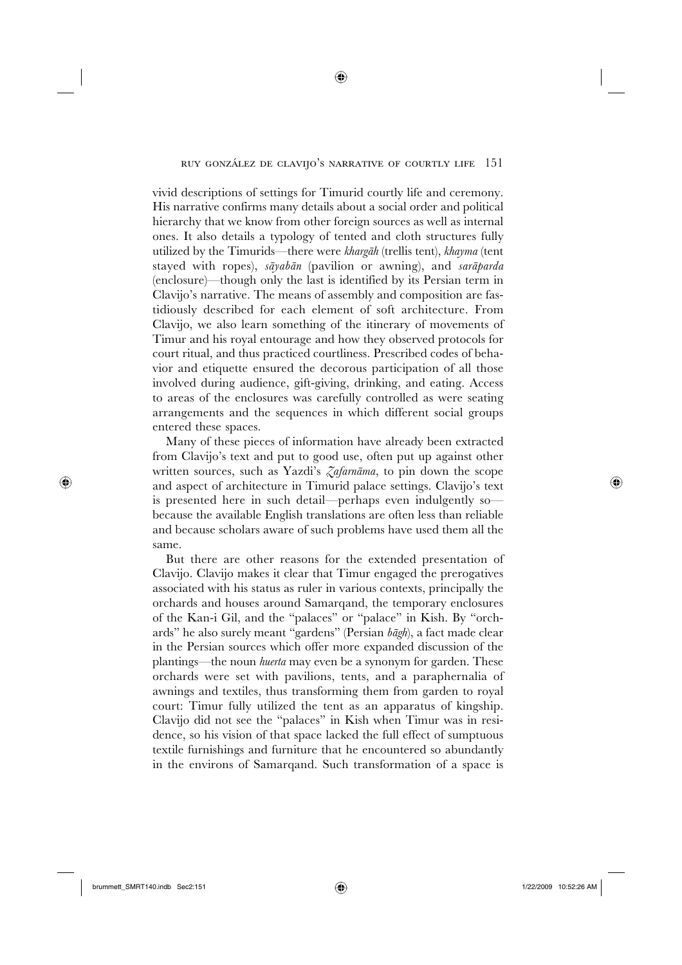vivid descriptions of settings for Timurid courtly life and ceremony. His narrative confirms many details about a social order and political hierarchy that we know from other foreign sources as well as internal ones. It also details a typology of tented and cloth structures fully utilized by the Timurids—there were *kharg§h* (trellis tent), *khayma* (tent stayed with ropes), *s§yab§n* (pavilion or awning), and *sar§parda* (enclosure)—though only the last is identified by its Persian term in Clavijo's narrative. The means of assembly and composition are fastidiously described for each element of soft architecture. From Clavijo, we also learn something of the itinerary of movements of Timur and his royal entourage and how they observed protocols for court ritual, and thus practiced courtliness. Prescribed codes of behavior and etiquette ensured the decorous participation of all those involved during audience, gift-giving, drinking, and eating. Access to areas of the enclosures was carefully controlled as were seating arrangements and the sequences in which different social groups entered these spaces.

Many of these pieces of information have already been extracted from Clavijo's text and put to good use, often put up against other written sources, such as Yazdi's *Zafarnāma*, to pin down the scope and aspect of architecture in Timurid palace settings. Clavijo's text is presented here in such detail—perhaps even indulgently so because the available English translations are often less than reliable and because scholars aware of such problems have used them all the same.

But there are other reasons for the extended presentation of Clavijo. Clavijo makes it clear that Timur engaged the prerogatives associated with his status as ruler in various contexts, principally the orchards and houses around Samarqand, the temporary enclosures of the Kan-i Gil, and the "palaces" or "palace" in Kish. By "orchards" he also surely meant "gardens" (Persian *b§gh*), a fact made clear in the Persian sources which offer more expanded discussion of the plantings—the noun *huerta* may even be a synonym for garden. These orchards were set with pavilions, tents, and a paraphernalia of awnings and textiles, thus transforming them from garden to royal court: Timur fully utilized the tent as an apparatus of kingship. Clavijo did not see the "palaces" in Kish when Timur was in residence, so his vision of that space lacked the full effect of sumptuous textile furnishings and furniture that he encountered so abundantly in the environs of Samarqand. Such transformation of a space is

⊕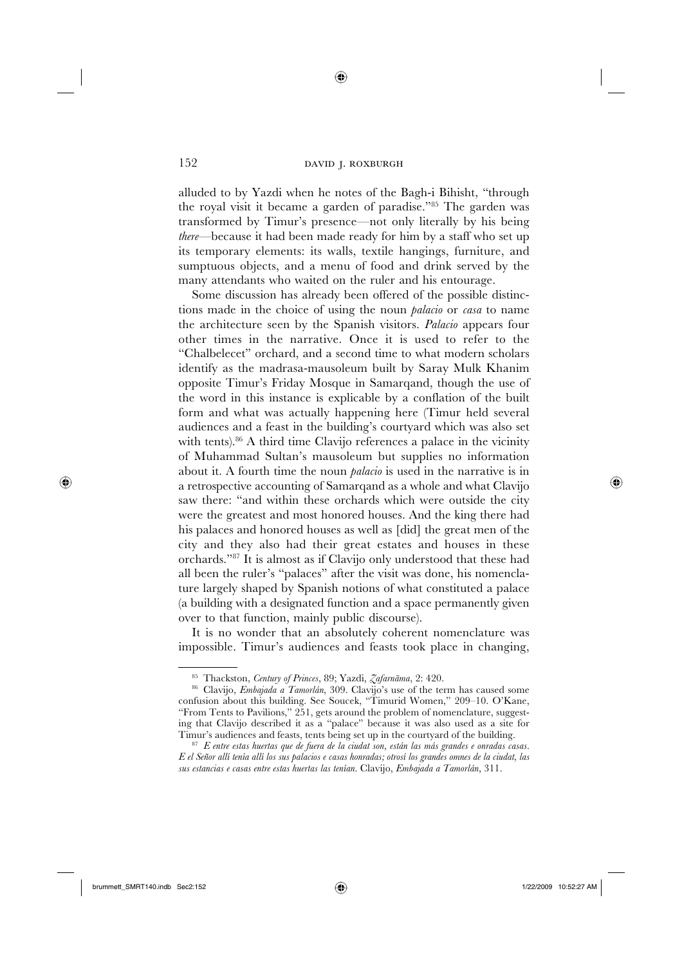◈

alluded to by Yazdi when he notes of the Bagh-i Bihisht, "through the royal visit it became a garden of paradise."85 The garden was transformed by Timur's presence—not only literally by his being *there*—because it had been made ready for him by a staff who set up its temporary elements: its walls, textile hangings, furniture, and sumptuous objects, and a menu of food and drink served by the many attendants who waited on the ruler and his entourage.

Some discussion has already been offered of the possible distinctions made in the choice of using the noun *palacio* or *casa* to name the architecture seen by the Spanish visitors. *Palacio* appears four other times in the narrative. Once it is used to refer to the "Chalbelecet" orchard, and a second time to what modern scholars identify as the madrasa-mausoleum built by Saray Mulk Khanim opposite Timur's Friday Mosque in Samarqand, though the use of the word in this instance is explicable by a conflation of the built form and what was actually happening here (Timur held several audiences and a feast in the building's courtyard which was also set with tents).<sup>86</sup> A third time Clavijo references a palace in the vicinity of Muhammad Sultan's mausoleum but supplies no information about it. A fourth time the noun *palacio* is used in the narrative is in a retrospective accounting of Samarqand as a whole and what Clavijo saw there: "and within these orchards which were outside the city were the greatest and most honored houses. And the king there had his palaces and honored houses as well as [did] the great men of the city and they also had their great estates and houses in these orchards."87 It is almost as if Clavijo only understood that these had all been the ruler's "palaces" after the visit was done, his nomenclature largely shaped by Spanish notions of what constituted a palace (a building with a designated function and a space permanently given over to that function, mainly public discourse).

It is no wonder that an absolutely coherent nomenclature was impossible. Timur's audiences and feasts took place in changing,

<sup>85</sup> Thackston, *Century of Princes*, 89; Yazdi, *£afarn§ma*, 2: 420.

<sup>86</sup> Clavijo, *Embajada a Tamorlán*, 309. Clavijo's use of the term has caused some confusion about this building. See Soucek, "Timurid Women," 209–10. O'Kane, "From Tents to Pavilions," 251, gets around the problem of nomenclature, suggesting that Clavijo described it as a "palace" because it was also used as a site for Timur's audiences and feasts, tents being set up in the courtyard of the building.

<sup>87</sup> *E entre estas huertas que de fuera de la ciudat son, están las más grandes e onradas casas. E el Señor allí tenía allí los sus palacios e casas honradas; otrosí los grandes omnes de la ciudat, las sus estancias e casas entre estas huertas las tenían*. Clavijo, *Embajada a Tamorlán*, 311.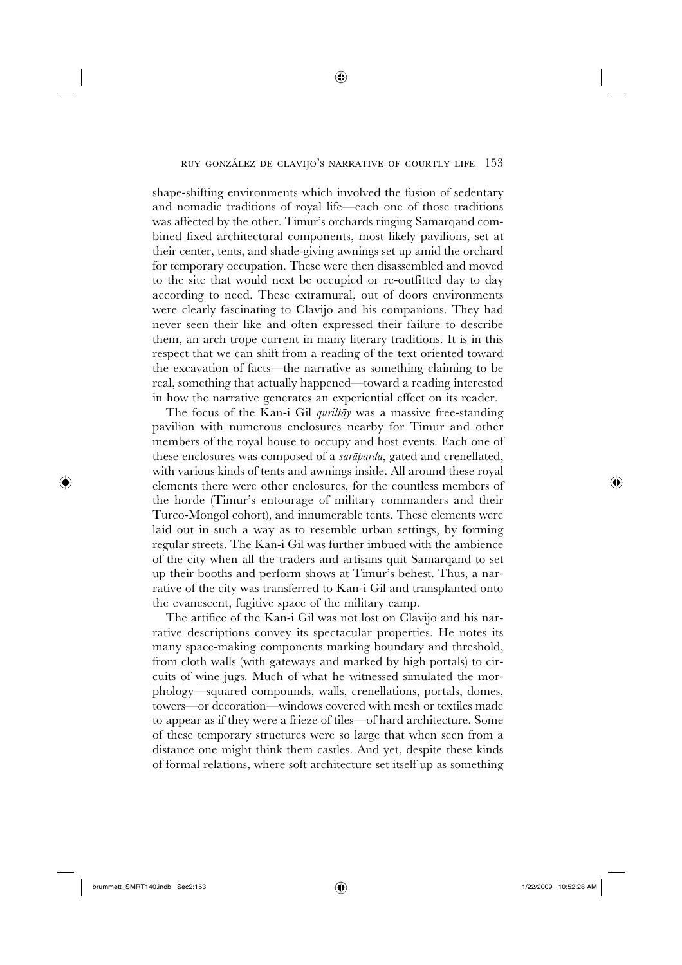#### ruy gonzález de clavijo's narrative of courtly life 153

◈

shape-shifting environments which involved the fusion of sedentary and nomadic traditions of royal life—each one of those traditions was affected by the other. Timur's orchards ringing Samarqand combined fixed architectural components, most likely pavilions, set at their center, tents, and shade-giving awnings set up amid the orchard for temporary occupation. These were then disassembled and moved to the site that would next be occupied or re-outfitted day to day according to need. These extramural, out of doors environments were clearly fascinating to Clavijo and his companions. They had never seen their like and often expressed their failure to describe them, an arch trope current in many literary traditions. It is in this respect that we can shift from a reading of the text oriented toward the excavation of facts—the narrative as something claiming to be real, something that actually happened—toward a reading interested in how the narrative generates an experiential effect on its reader.

The focus of the Kan-i Gil *qurilt§y* was a massive free-standing pavilion with numerous enclosures nearby for Timur and other members of the royal house to occupy and host events. Each one of these enclosures was composed of a *sar§parda*, gated and crenellated, with various kinds of tents and awnings inside. All around these royal elements there were other enclosures, for the countless members of the horde (Timur's entourage of military commanders and their Turco-Mongol cohort), and innumerable tents. These elements were laid out in such a way as to resemble urban settings, by forming regular streets. The Kan-i Gil was further imbued with the ambience of the city when all the traders and artisans quit Samarqand to set up their booths and perform shows at Timur's behest. Thus, a narrative of the city was transferred to Kan-i Gil and transplanted onto the evanescent, fugitive space of the military camp.

The artifice of the Kan-i Gil was not lost on Clavijo and his narrative descriptions convey its spectacular properties. He notes its many space-making components marking boundary and threshold, from cloth walls (with gateways and marked by high portals) to circuits of wine jugs. Much of what he witnessed simulated the morphology—squared compounds, walls, crenellations, portals, domes, towers—or decoration—windows covered with mesh or textiles made to appear as if they were a frieze of tiles—of hard architecture. Some of these temporary structures were so large that when seen from a distance one might think them castles. And yet, despite these kinds of formal relations, where soft architecture set itself up as something

brummett\_SMRT140.indb Sec2:153 **index** 1/22/2009 10:52:28 AM

⊕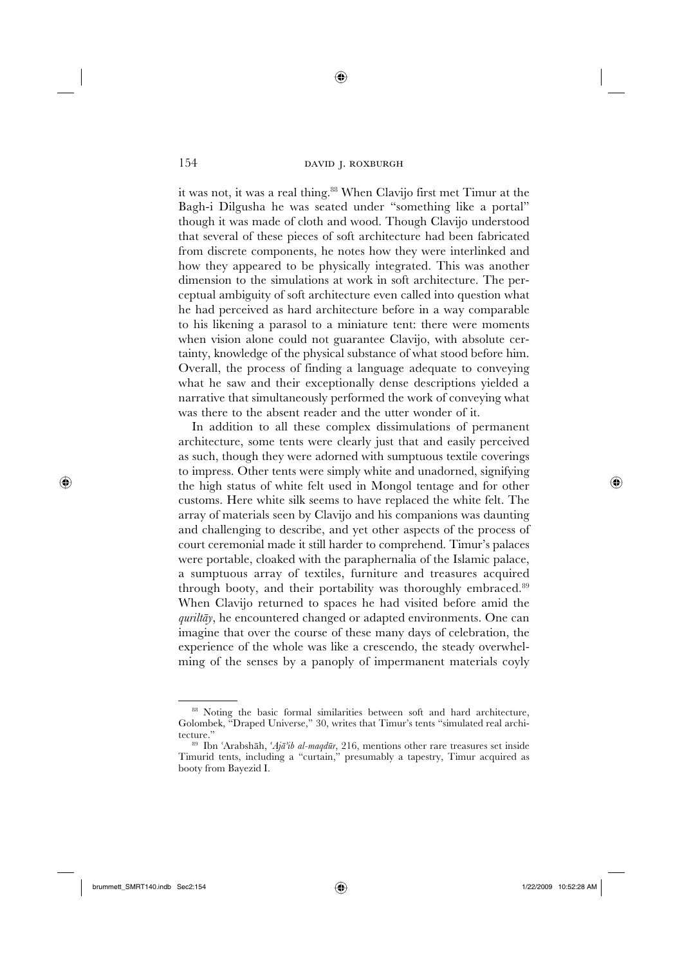# 154 **david DAVID J. ROXBURGH**

◈

it was not, it was a real thing.88 When Clavijo first met Timur at the Bagh-i Dilgusha he was seated under "something like a portal" though it was made of cloth and wood. Though Clavijo understood that several of these pieces of soft architecture had been fabricated from discrete components, he notes how they were interlinked and how they appeared to be physically integrated. This was another dimension to the simulations at work in soft architecture. The perceptual ambiguity of soft architecture even called into question what he had perceived as hard architecture before in a way comparable to his likening a parasol to a miniature tent: there were moments when vision alone could not guarantee Clavijo, with absolute certainty, knowledge of the physical substance of what stood before him. Overall, the process of finding a language adequate to conveying what he saw and their exceptionally dense descriptions yielded a narrative that simultaneously performed the work of conveying what was there to the absent reader and the utter wonder of it.

In addition to all these complex dissimulations of permanent architecture, some tents were clearly just that and easily perceived as such, though they were adorned with sumptuous textile coverings to impress. Other tents were simply white and unadorned, signifying the high status of white felt used in Mongol tentage and for other customs. Here white silk seems to have replaced the white felt. The array of materials seen by Clavijo and his companions was daunting and challenging to describe, and yet other aspects of the process of court ceremonial made it still harder to comprehend. Timur's palaces were portable, cloaked with the paraphernalia of the Islamic palace, a sumptuous array of textiles, furniture and treasures acquired through booty, and their portability was thoroughly embraced.<sup>89</sup> When Clavijo returned to spaces he had visited before amid the *qurilt§y*, he encountered changed or adapted environments. One can imagine that over the course of these many days of celebration, the experience of the whole was like a crescendo, the steady overwhelming of the senses by a panoply of impermanent materials coyly

⊕

<sup>88</sup> Noting the basic formal similarities between soft and hard architecture, Golombek, "Draped Universe," 30, writes that Timur's tents "simulated real architecture.'

<sup>89</sup> Ibn #Arabsh§h, *#Aj§"ib al-maqdår*, 216, mentions other rare treasures set inside Timurid tents, including a "curtain," presumably a tapestry, Timur acquired as booty from Bayezid I.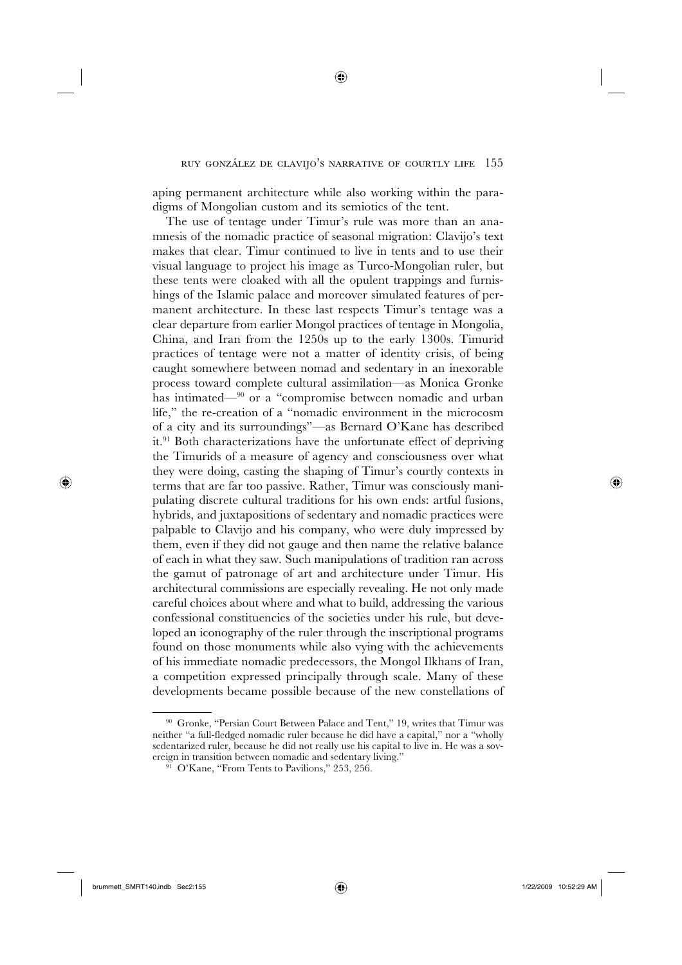#### ruy gonzález de clavijo's narrative of courtly life 155

◈

aping permanent architecture while also working within the paradigms of Mongolian custom and its semiotics of the tent.

The use of tentage under Timur's rule was more than an anamnesis of the nomadic practice of seasonal migration: Clavijo's text makes that clear. Timur continued to live in tents and to use their visual language to project his image as Turco-Mongolian ruler, but these tents were cloaked with all the opulent trappings and furnishings of the Islamic palace and moreover simulated features of permanent architecture. In these last respects Timur's tentage was a clear departure from earlier Mongol practices of tentage in Mongolia, China, and Iran from the 1250s up to the early 1300s. Timurid practices of tentage were not a matter of identity crisis, of being caught somewhere between nomad and sedentary in an inexorable process toward complete cultural assimilation—as Monica Gronke has intimated—90 or a "compromise between nomadic and urban life," the re-creation of a "nomadic environment in the microcosm of a city and its surroundings"—as Bernard O'Kane has described it.<sup>91</sup> Both characterizations have the unfortunate effect of depriving the Timurids of a measure of agency and consciousness over what they were doing, casting the shaping of Timur's courtly contexts in terms that are far too passive. Rather, Timur was consciously manipulating discrete cultural traditions for his own ends: artful fusions, hybrids, and juxtapositions of sedentary and nomadic practices were palpable to Clavijo and his company, who were duly impressed by them, even if they did not gauge and then name the relative balance of each in what they saw. Such manipulations of tradition ran across the gamut of patronage of art and architecture under Timur. His architectural commissions are especially revealing. He not only made careful choices about where and what to build, addressing the various confessional constituencies of the societies under his rule, but developed an iconography of the ruler through the inscriptional programs found on those monuments while also vying with the achievements of his immediate nomadic predecessors, the Mongol Ilkhans of Iran, a competition expressed principally through scale. Many of these developments became possible because of the new constellations of

brummett\_SMRT140.indb Sec2:155 **a** and the section of the section of the section of the section of the section of the section of the section of the section of the section of the section of the section of the section of the

⊕

<sup>&</sup>lt;sup>90</sup> Gronke, "Persian Court Between Palace and Tent," 19, writes that Timur was neither "a full-fledged nomadic ruler because he did have a capital," nor a "wholly sedentarized ruler, because he did not really use his capital to live in. He was a sovereign in transition between nomadic and sedentary living."

 $91$  O'Kane, "From Tents to Pavilions," 253, 256.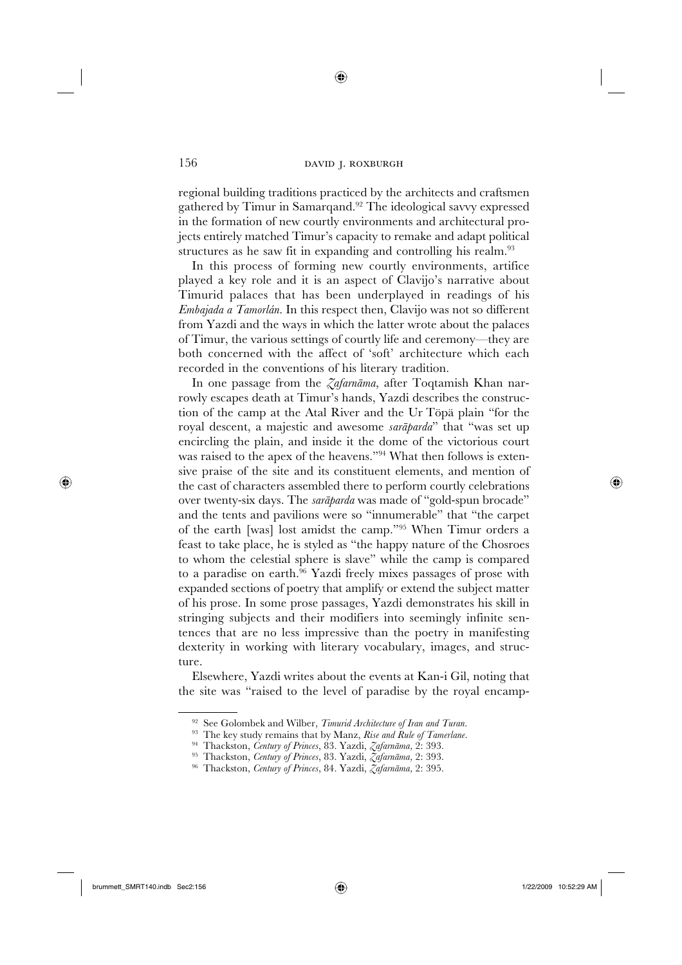# 156 **david DAVID** J. ROXBURGH

◈

regional building traditions practiced by the architects and craftsmen gathered by Timur in Samarqand.92 The ideological savvy expressed in the formation of new courtly environments and architectural projects entirely matched Timur's capacity to remake and adapt political structures as he saw fit in expanding and controlling his realm.<sup>93</sup>

In this process of forming new courtly environments, artifice played a key role and it is an aspect of Clavijo's narrative about Timurid palaces that has been underplayed in readings of his *Embajada a Tamorlán*. In this respect then, Clavijo was not so different from Yazdi and the ways in which the latter wrote about the palaces of Timur, the various settings of courtly life and ceremony—they are both concerned with the affect of 'soft' architecture which each recorded in the conventions of his literary tradition.

In one passage from the *Zafarnāma*, after Toqtamish Khan narrowly escapes death at Timur's hands, Yazdi describes the construction of the camp at the Atal River and the Ur Töpä plain "for the royal descent, a majestic and awesome *sar§parda*" that "was set up encircling the plain, and inside it the dome of the victorious court was raised to the apex of the heavens."94 What then follows is extensive praise of the site and its constituent elements, and mention of the cast of characters assembled there to perform courtly celebrations over twenty-six days. The *sar§parda* was made of "gold-spun brocade" and the tents and pavilions were so "innumerable" that "the carpet of the earth [was] lost amidst the camp."95 When Timur orders a feast to take place, he is styled as "the happy nature of the Chosroes to whom the celestial sphere is slave" while the camp is compared to a paradise on earth.<sup>96</sup> Yazdi freely mixes passages of prose with expanded sections of poetry that amplify or extend the subject matter of his prose. In some prose passages, Yazdi demonstrates his skill in stringing subjects and their modifiers into seemingly infinite sentences that are no less impressive than the poetry in manifesting dexterity in working with literary vocabulary, images, and structure.

Elsewhere, Yazdi writes about the events at Kan-i Gil, noting that the site was "raised to the level of paradise by the royal encamp-

⊕

<sup>92</sup> See Golombek and Wilber, *Timurid Architecture of Iran and Turan*.

<sup>93</sup> The key study remains that by Manz, *Rise and Rule of Tamerlane*.

<sup>94</sup> Thackston, *Century of Princes*, 83. Yazdi, *£afarn§ma,* 2: 393*.*

<sup>95</sup> Thackston, *Century of Princes*, 83. Yazdi, *£afarn§ma,* 2: 393*.*

<sup>96</sup> Thackston, *Century of Princes*, 84. Yazdi, *£afarn§ma,* 2: 395.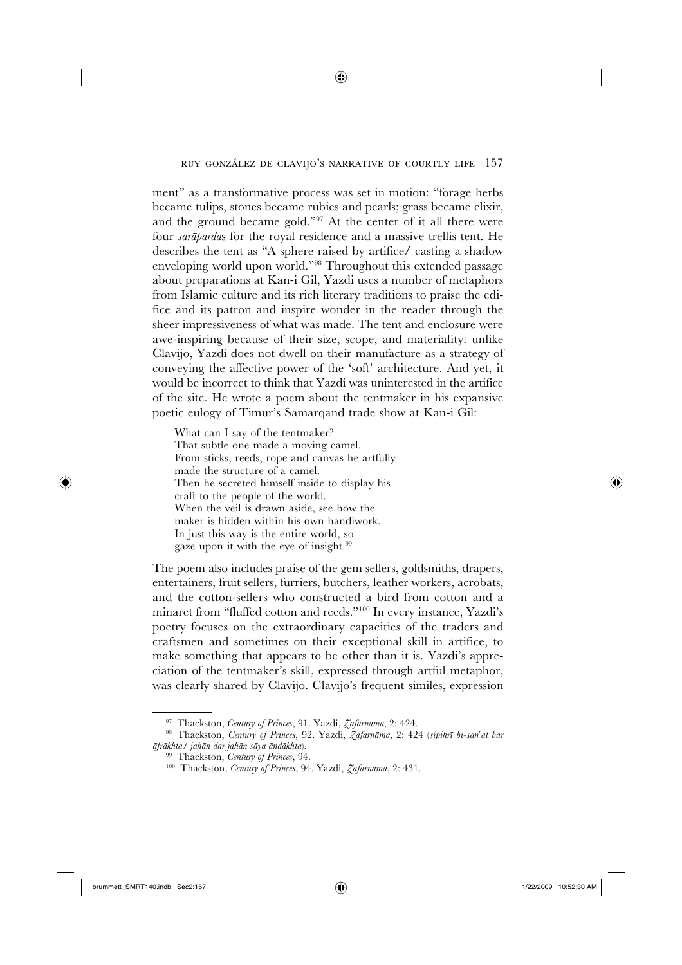ment" as a transformative process was set in motion: "forage herbs became tulips, stones became rubies and pearls; grass became elixir, and the ground became gold."97 At the center of it all there were four *sar§parda*s for the royal residence and a massive trellis tent. He describes the tent as "A sphere raised by artifice/ casting a shadow enveloping world upon world."98 Throughout this extended passage about preparations at Kan-i Gil, Yazdi uses a number of metaphors from Islamic culture and its rich literary traditions to praise the edifice and its patron and inspire wonder in the reader through the sheer impressiveness of what was made. The tent and enclosure were awe-inspiring because of their size, scope, and materiality: unlike Clavijo, Yazdi does not dwell on their manufacture as a strategy of conveying the affective power of the 'soft' architecture. And yet, it would be incorrect to think that Yazdi was uninterested in the artifice of the site. He wrote a poem about the tentmaker in his expansive poetic eulogy of Timur's Samarqand trade show at Kan-i Gil:

What can I say of the tentmaker? That subtle one made a moving camel. From sticks, reeds, rope and canvas he artfully made the structure of a camel. Then he secreted himself inside to display his craft to the people of the world. When the veil is drawn aside, see how the maker is hidden within his own handiwork. In just this way is the entire world, so gaze upon it with the eye of insight.<sup>99</sup>

The poem also includes praise of the gem sellers, goldsmiths, drapers, entertainers, fruit sellers, furriers, butchers, leather workers, acrobats, and the cotton-sellers who constructed a bird from cotton and a minaret from "fluffed cotton and reeds."100 In every instance, Yazdi's poetry focuses on the extraordinary capacities of the traders and craftsmen and sometimes on their exceptional skill in artifice, to make something that appears to be other than it is. Yazdi's appreciation of the tentmaker's skill, expressed through artful metaphor, was clearly shared by Clavijo. Clavijo's frequent similes, expression

brummett\_SMRT140.indb Sec2:157 **a** and the section of the section of the section of the section of the section of the section of the section of the section of the section of the section of the section of the section of the

⊕

<sup>97</sup> Thackston, *Century of Princes*, 91. Yazdi, *£afarn§ma,* 2: 424.

<sup>&</sup>lt;sup>98</sup> Thackston, *Century of Princes*, 92. Yazdi,  $\zeta$ afarnāma, 2: 424 (*sipihrī bi-san'at bar §fr§khta/ jah§n dar jah§n s§ya §nd§khta*).

<sup>99</sup> Thackston, *Century of Princes*, 94.

<sup>100</sup> Thackston, *Century of Princes*, 94. Yazdi, *£afarn§ma*, 2: 431.